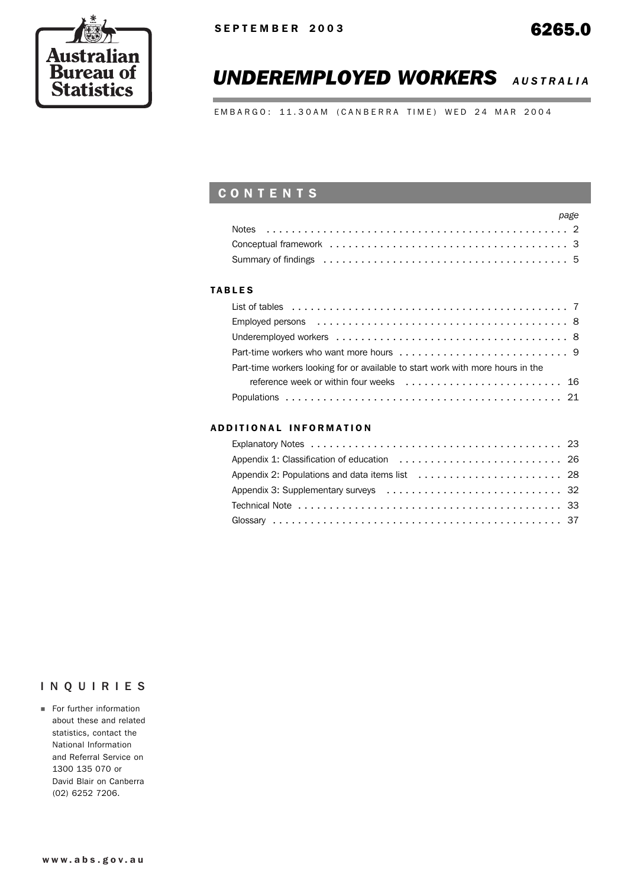

# *UNDEREMPLOYED WORKERS AUSTRALIA*

EMBARGO: 11.30AM (CANBERRA TIME) WED 24 MAR 2004

# **CONTENTS**

| page |
|------|
|      |
|      |
|      |

### TABLES

| Part-time workers looking for or available to start work with more hours in the |
|---------------------------------------------------------------------------------|
|                                                                                 |
|                                                                                 |

### ADDITIONAL INFORMATION

### INQUIRIES

**For further information** about these and related statistics, contact the National Information and Referral Service on 1300 135 070 or David Blair on Canberra (02) 6252 7206.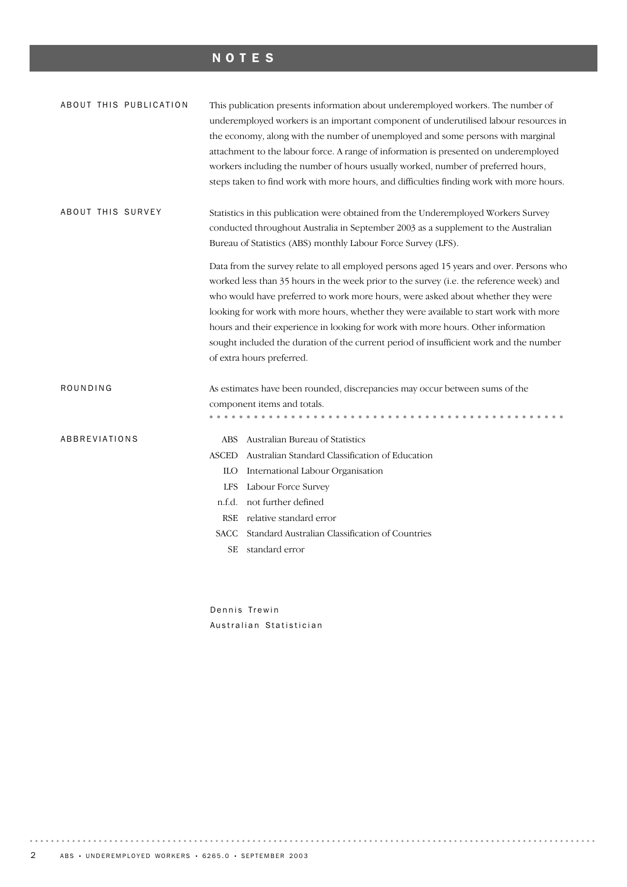# NOTES

| ABOUT THIS PUBLICATION   | This publication presents information about underemployed workers. The number of<br>underemployed workers is an important component of underutilised labour resources in<br>the economy, along with the number of unemployed and some persons with marginal<br>attachment to the labour force. A range of information is presented on underemployed<br>workers including the number of hours usually worked, number of preferred hours,<br>steps taken to find work with more hours, and difficulties finding work with more hours. |
|--------------------------|-------------------------------------------------------------------------------------------------------------------------------------------------------------------------------------------------------------------------------------------------------------------------------------------------------------------------------------------------------------------------------------------------------------------------------------------------------------------------------------------------------------------------------------|
| <b>ABOUT THIS SURVEY</b> | Statistics in this publication were obtained from the Underemployed Workers Survey                                                                                                                                                                                                                                                                                                                                                                                                                                                  |
|                          | conducted throughout Australia in September 2003 as a supplement to the Australian                                                                                                                                                                                                                                                                                                                                                                                                                                                  |
|                          | Bureau of Statistics (ABS) monthly Labour Force Survey (LFS).                                                                                                                                                                                                                                                                                                                                                                                                                                                                       |
|                          | Data from the survey relate to all employed persons aged 15 years and over. Persons who                                                                                                                                                                                                                                                                                                                                                                                                                                             |
|                          | worked less than 35 hours in the week prior to the survey (i.e. the reference week) and                                                                                                                                                                                                                                                                                                                                                                                                                                             |
|                          | who would have preferred to work more hours, were asked about whether they were                                                                                                                                                                                                                                                                                                                                                                                                                                                     |
|                          | looking for work with more hours, whether they were available to start work with more                                                                                                                                                                                                                                                                                                                                                                                                                                               |
|                          | hours and their experience in looking for work with more hours. Other information                                                                                                                                                                                                                                                                                                                                                                                                                                                   |
|                          | sought included the duration of the current period of insufficient work and the number                                                                                                                                                                                                                                                                                                                                                                                                                                              |
|                          | of extra hours preferred.                                                                                                                                                                                                                                                                                                                                                                                                                                                                                                           |
| ROUNDING                 | As estimates have been rounded, discrepancies may occur between sums of the                                                                                                                                                                                                                                                                                                                                                                                                                                                         |
|                          | component items and totals.                                                                                                                                                                                                                                                                                                                                                                                                                                                                                                         |
|                          | .                                                                                                                                                                                                                                                                                                                                                                                                                                                                                                                                   |
| ABBREVIATIONS            | ABS Australian Bureau of Statistics                                                                                                                                                                                                                                                                                                                                                                                                                                                                                                 |
|                          | Australian Standard Classification of Education<br>ASCED                                                                                                                                                                                                                                                                                                                                                                                                                                                                            |
|                          | International Labour Organisation<br>ILO -                                                                                                                                                                                                                                                                                                                                                                                                                                                                                          |
|                          | Labour Force Survey<br><b>LFS</b>                                                                                                                                                                                                                                                                                                                                                                                                                                                                                                   |
|                          | not further defined<br>n.f.d.                                                                                                                                                                                                                                                                                                                                                                                                                                                                                                       |
|                          | RSE relative standard error                                                                                                                                                                                                                                                                                                                                                                                                                                                                                                         |
|                          | Standard Australian Classification of Countries<br>SACC                                                                                                                                                                                                                                                                                                                                                                                                                                                                             |
|                          | standard error<br>SE                                                                                                                                                                                                                                                                                                                                                                                                                                                                                                                |
|                          |                                                                                                                                                                                                                                                                                                                                                                                                                                                                                                                                     |
|                          |                                                                                                                                                                                                                                                                                                                                                                                                                                                                                                                                     |

Dennis Trewin Australian Statistician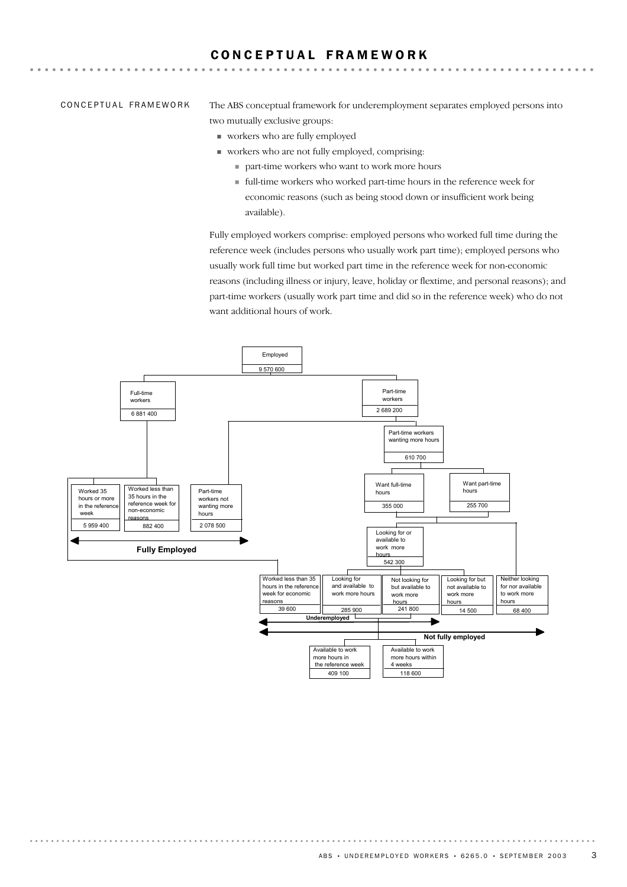### C O N C E P T U A L F R A M E W O R K

CONCEPTUAL FRAMEWORK

The ABS conceptual framework for underemployment separates employed persons into two mutually exclusive groups:

- ! workers who are fully employed
- ! workers who are not fully employed, comprising:
	- ! part-time workers who want to work more hours
	- ! full-time workers who worked part-time hours in the reference week for economic reasons (such as being stood down or insufficient work being available).

Fully employed workers comprise: employed persons who worked full time during the reference week (includes persons who usually work part time); employed persons who usually work full time but worked part time in the reference week for non-economic reasons (including illness or injury, leave, holiday or flextime, and personal reasons); and part-time workers (usually work part time and did so in the reference week) who do not want additional hours of work.

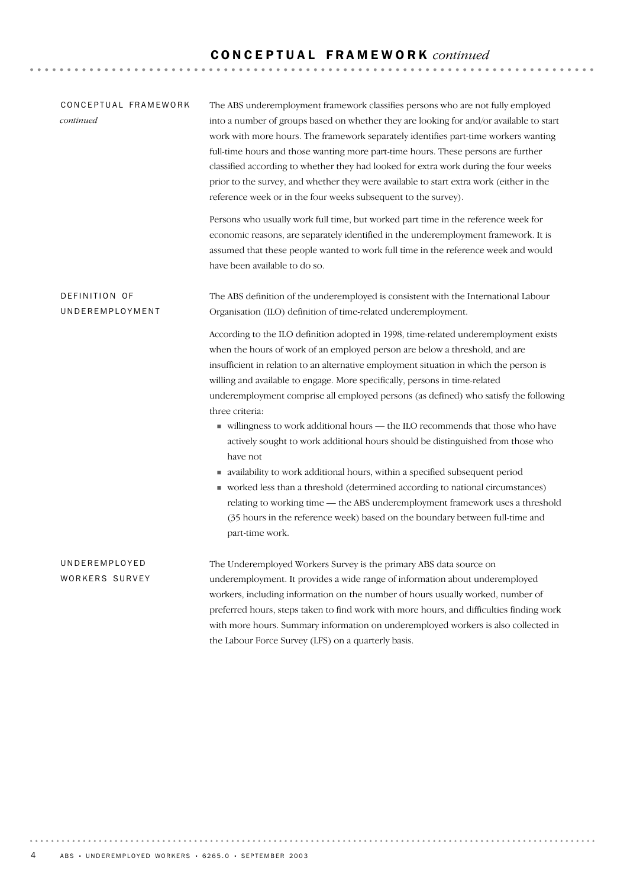# C O N C E P T U A L F R A M E W O R K *continued*

| CONCEPTUAL FRAMEWORK<br>continued | The ABS underemployment framework classifies persons who are not fully employed<br>into a number of groups based on whether they are looking for and/or available to start<br>work with more hours. The framework separately identifies part-time workers wanting<br>full-time hours and those wanting more part-time hours. These persons are further<br>classified according to whether they had looked for extra work during the four weeks<br>prior to the survey, and whether they were available to start extra work (either in the<br>reference week or in the four weeks subsequent to the survey).                                                                                                                                                                                                                                                                                                                                                                                   |  |  |  |  |  |
|-----------------------------------|-----------------------------------------------------------------------------------------------------------------------------------------------------------------------------------------------------------------------------------------------------------------------------------------------------------------------------------------------------------------------------------------------------------------------------------------------------------------------------------------------------------------------------------------------------------------------------------------------------------------------------------------------------------------------------------------------------------------------------------------------------------------------------------------------------------------------------------------------------------------------------------------------------------------------------------------------------------------------------------------------|--|--|--|--|--|
|                                   | Persons who usually work full time, but worked part time in the reference week for<br>economic reasons, are separately identified in the underemployment framework. It is<br>assumed that these people wanted to work full time in the reference week and would<br>have been available to do so.                                                                                                                                                                                                                                                                                                                                                                                                                                                                                                                                                                                                                                                                                              |  |  |  |  |  |
| DEFINITION OF<br>UNDEREMPLOYMENT  | The ABS definition of the underemployed is consistent with the International Labour<br>Organisation (ILO) definition of time-related underemployment.                                                                                                                                                                                                                                                                                                                                                                                                                                                                                                                                                                                                                                                                                                                                                                                                                                         |  |  |  |  |  |
|                                   | According to the ILO definition adopted in 1998, time-related underemployment exists<br>when the hours of work of an employed person are below a threshold, and are<br>insufficient in relation to an alternative employment situation in which the person is<br>willing and available to engage. More specifically, persons in time-related<br>underemployment comprise all employed persons (as defined) who satisfy the following<br>three criteria:<br>villingness to work additional hours - the ILO recommends that those who have<br>actively sought to work additional hours should be distinguished from those who<br>have not<br>• availability to work additional hours, within a specified subsequent period<br>worked less than a threshold (determined according to national circumstances)<br>relating to working time - the ABS underemployment framework uses a threshold<br>(35 hours in the reference week) based on the boundary between full-time and<br>part-time work. |  |  |  |  |  |
| UNDEREMPLOYED<br>WORKERS SURVEY   | The Underemployed Workers Survey is the primary ABS data source on<br>underemployment. It provides a wide range of information about underemployed<br>workers, including information on the number of hours usually worked, number of<br>preferred hours, steps taken to find work with more hours, and difficulties finding work<br>with more hours. Summary information on underemployed workers is also collected in<br>the Labour Force Survey (LFS) on a quarterly basis.                                                                                                                                                                                                                                                                                                                                                                                                                                                                                                                |  |  |  |  |  |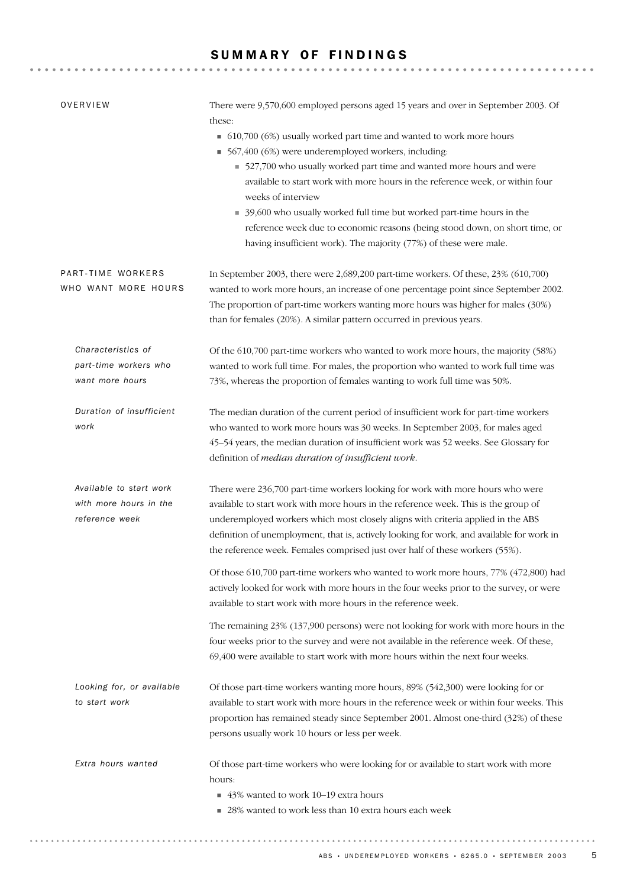### SUMMARY OF FINDINGS

| OVERVIEW                                                            | There were 9,570,600 employed persons aged 15 years and over in September 2003. Of<br>these:<br>• 610,700 (6%) usually worked part time and wanted to work more hours<br>567,400 (6%) were underemployed workers, including:<br>■ 527,700 who usually worked part time and wanted more hours and were<br>available to start work with more hours in the reference week, or within four<br>weeks of interview<br>39,600 who usually worked full time but worked part-time hours in the<br>reference week due to economic reasons (being stood down, on short time, or<br>having insufficient work). The majority (77%) of these were male. |
|---------------------------------------------------------------------|-------------------------------------------------------------------------------------------------------------------------------------------------------------------------------------------------------------------------------------------------------------------------------------------------------------------------------------------------------------------------------------------------------------------------------------------------------------------------------------------------------------------------------------------------------------------------------------------------------------------------------------------|
| PART-TIME WORKERS<br>WHO WANT MORE HOURS                            | In September 2003, there were 2,689,200 part-time workers. Of these, 23% (610,700)<br>wanted to work more hours, an increase of one percentage point since September 2002.<br>The proportion of part-time workers wanting more hours was higher for males (30%)<br>than for females (20%). A similar pattern occurred in previous years.                                                                                                                                                                                                                                                                                                  |
| Characteristics of<br>part-time workers who<br>want more hours      | Of the 610,700 part-time workers who wanted to work more hours, the majority (58%)<br>wanted to work full time. For males, the proportion who wanted to work full time was<br>73%, whereas the proportion of females wanting to work full time was 50%.                                                                                                                                                                                                                                                                                                                                                                                   |
| Duration of insufficient<br>work                                    | The median duration of the current period of insufficient work for part-time workers<br>who wanted to work more hours was 30 weeks. In September 2003, for males aged<br>45-54 years, the median duration of insufficient work was 52 weeks. See Glossary for<br>definition of median duration of insufficient work.                                                                                                                                                                                                                                                                                                                      |
| Available to start work<br>with more hours in the<br>reference week | There were 236,700 part-time workers looking for work with more hours who were<br>available to start work with more hours in the reference week. This is the group of<br>underemployed workers which most closely aligns with criteria applied in the ABS<br>definition of unemployment, that is, actively looking for work, and available for work in<br>the reference week. Females comprised just over half of these workers (55%).                                                                                                                                                                                                    |
|                                                                     | Of those 610,700 part-time workers who wanted to work more hours, 77% (472,800) had<br>actively looked for work with more hours in the four weeks prior to the survey, or were<br>available to start work with more hours in the reference week.                                                                                                                                                                                                                                                                                                                                                                                          |
|                                                                     | The remaining 23% (137,900 persons) were not looking for work with more hours in the<br>four weeks prior to the survey and were not available in the reference week. Of these,<br>69,400 were available to start work with more hours within the next four weeks.                                                                                                                                                                                                                                                                                                                                                                         |
| Looking for, or available<br>to start work                          | Of those part-time workers wanting more hours, 89% (542,300) were looking for or<br>available to start work with more hours in the reference week or within four weeks. This<br>proportion has remained steady since September 2001. Almost one-third (32%) of these<br>persons usually work 10 hours or less per week.                                                                                                                                                                                                                                                                                                                   |
| Extra hours wanted                                                  | Of those part-time workers who were looking for or available to start work with more<br>hours:<br>43% wanted to work 10-19 extra hours<br>28% wanted to work less than 10 extra hours each week                                                                                                                                                                                                                                                                                                                                                                                                                                           |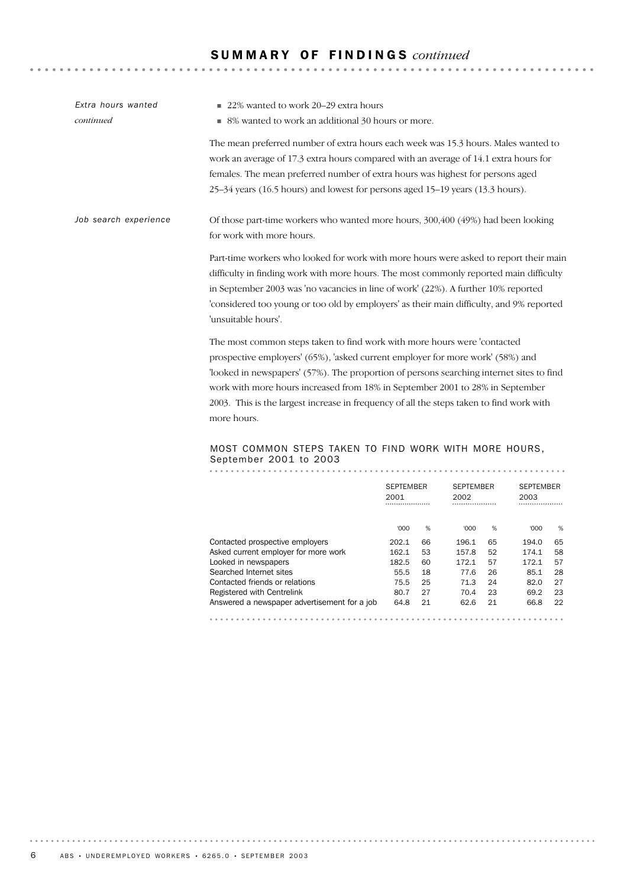# S U M M A R Y O F F I N D I N G S *continued*

| Extra hours wanted    | 22% wanted to work 20–29 extra hours<br>٠                                                                                                                                                                                                                                                                                                                                                                                                         |
|-----------------------|---------------------------------------------------------------------------------------------------------------------------------------------------------------------------------------------------------------------------------------------------------------------------------------------------------------------------------------------------------------------------------------------------------------------------------------------------|
| continued             | ■ 8% wanted to work an additional 30 hours or more.                                                                                                                                                                                                                                                                                                                                                                                               |
|                       | The mean preferred number of extra hours each week was 15.3 hours. Males wanted to<br>work an average of 17.3 extra hours compared with an average of 14.1 extra hours for<br>females. The mean preferred number of extra hours was highest for persons aged<br>25-34 years (16.5 hours) and lowest for persons aged 15-19 years (13.3 hours).                                                                                                    |
| Job search experience | Of those part-time workers who wanted more hours, 300,400 (49%) had been looking<br>for work with more hours.                                                                                                                                                                                                                                                                                                                                     |
|                       | Part-time workers who looked for work with more hours were asked to report their main<br>difficulty in finding work with more hours. The most commonly reported main difficulty<br>in September 2003 was 'no vacancies in line of work' (22%). A further 10% reported<br>'considered too young or too old by employers' as their main difficulty, and 9% reported<br>'unsuitable hours'.                                                          |
|                       | The most common steps taken to find work with more hours were 'contacted<br>prospective employers' (65%), 'asked current employer for more work' (58%) and<br>looked in newspapers' (57%). The proportion of persons searching internet sites to find<br>work with more hours increased from 18% in September 2001 to 28% in September<br>2003. This is the largest increase in frequency of all the steps taken to find work with<br>more hours. |
|                       | $277722$ $7117711$ $72.71112$ $1112211$ $1117711$ $112222$                                                                                                                                                                                                                                                                                                                                                                                        |

# MOST COMMON STEPS TAKEN TO FIND WORK WITH MORE HOURS, September 2001 to 2003

|                                              | <b>SEPTEMBER</b><br>2001<br> |    | <b>SEPTEMBER</b><br>2002<br> |    | <b>SEPTEMBER</b><br>2003 |    |
|----------------------------------------------|------------------------------|----|------------------------------|----|--------------------------|----|
|                                              | 000'                         | %  | '000                         | %  | 000'                     | %  |
| Contacted prospective employers              | 202.1                        | 66 | 196.1                        | 65 | 194.0                    | 65 |
| Asked current employer for more work         | 162.1                        | 53 | 157.8                        | 52 | 174.1                    | 58 |
| Looked in newspapers                         | 182.5                        | 60 | 172.1                        | 57 | 172.1                    | 57 |
| Searched Internet sites                      | 55.5                         | 18 | 77.6                         | 26 | 85.1                     | 28 |
| Contacted friends or relations               | 75.5                         | 25 | 71.3                         | 24 | 82.0                     | 27 |
| Registered with Centrelink                   | 80.7                         | 27 | 70.4                         | 23 | 69.2                     | 23 |
| Answered a newspaper advertisement for a job | 64.8                         | 21 | 62.6                         | 21 | 66.8                     | 22 |
|                                              |                              |    |                              |    |                          |    |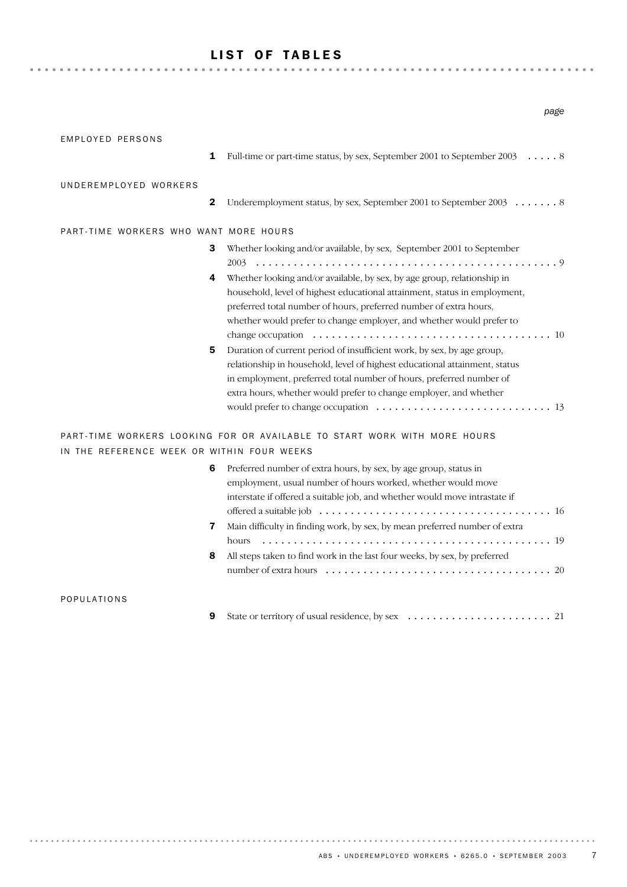# LIST OF TABLES

| EMPLOYED PERSONS                           | 1            | Full-time or part-time status, by sex, September 2001 to September 2003 8                                                                                                                                                                                                                                                                                                                                                                                                                                                        |
|--------------------------------------------|--------------|----------------------------------------------------------------------------------------------------------------------------------------------------------------------------------------------------------------------------------------------------------------------------------------------------------------------------------------------------------------------------------------------------------------------------------------------------------------------------------------------------------------------------------|
| UNDEREMPLOYED WORKERS                      | $\mathbf{2}$ | Underemployment status, by sex, September 2001 to September 2003 8                                                                                                                                                                                                                                                                                                                                                                                                                                                               |
| PART-TIME WORKERS WHO WANT MORE HOURS      |              |                                                                                                                                                                                                                                                                                                                                                                                                                                                                                                                                  |
|                                            | 3            | Whether looking and/or available, by sex, September 2001 to September                                                                                                                                                                                                                                                                                                                                                                                                                                                            |
|                                            | 4<br>5       | Whether looking and/or available, by sex, by age group, relationship in<br>household, level of highest educational attainment, status in employment,<br>preferred total number of hours, preferred number of extra hours,<br>whether would prefer to change employer, and whether would prefer to<br>Duration of current period of insufficient work, by sex, by age group,<br>relationship in household, level of highest educational attainment, status<br>in employment, preferred total number of hours, preferred number of |
| IN THE REFERENCE WEEK OR WITHIN FOUR WEEKS |              | extra hours, whether would prefer to change employer, and whether<br>PART-TIME WORKERS LOOKING FOR OR AVAILABLE TO START WORK WITH MORE HOURS                                                                                                                                                                                                                                                                                                                                                                                    |
|                                            | 6            | Preferred number of extra hours, by sex, by age group, status in<br>employment, usual number of hours worked, whether would move<br>interstate if offered a suitable job, and whether would move intrastate if                                                                                                                                                                                                                                                                                                                   |
|                                            | 7            | Main difficulty in finding work, by sex, by mean preferred number of extra                                                                                                                                                                                                                                                                                                                                                                                                                                                       |
|                                            | 8            | hours<br>All steps taken to find work in the last four weeks, by sex, by preferred                                                                                                                                                                                                                                                                                                                                                                                                                                               |
| POPULATIONS                                |              |                                                                                                                                                                                                                                                                                                                                                                                                                                                                                                                                  |
|                                            | 9            |                                                                                                                                                                                                                                                                                                                                                                                                                                                                                                                                  |

*page*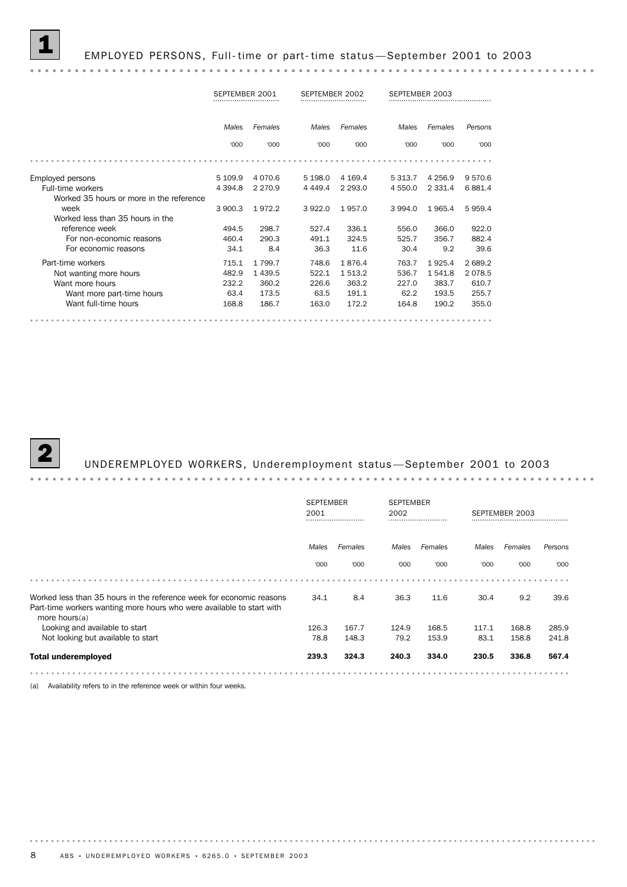1 EMPLOYED PERSONS, Full- time or part- time status —September 2001 to 2003

### SEPTEMBER 2001 SEPTEMBER 2002 SEPTEMBER 2003 *Males Females Males Females Males Females Persons* '000 '000 '000 '000 '000 '000 '000 Employed persons 5 109.9 4 070.6 5 198.0 4 169.4 5 313.7 4 256.9 9 570.6 Full-time workers 4 394.8 2 270.9 4 449.4 2 293.0 4 550.0 2 331.4 6 881.4 Worked 35 hours or more in the reference 3 900.3 1 972.2 3 922.0 1 957.0 3 994.0 1 965.4 5 959.4 week Worked less than 35 hours in the 494.5 298.7 527.4 336.1 556.0 366.0 922.0 reference week For non-economic reasons 460.4 290.3 491.1 324.5 525.7 356.7 882.4 For economic reasons 34.1 8.4 36.3 11.6 30.4 9.2 39.6 Part-time workers **Part-time** workers **715.1 1 799.7** 748.6 1 876.4 763.7 1 925.4 2 689.2 11-time workers<br>
Mot wanting more hours<br>
Want more hours<br>
Want more hours<br>
232.2 360.2 226.6 363.2 227.0 383.7 610.7 Not wanting more hours 482.9 1 439.5 522.1 1 513.2 536.7 1 541.8 2 078.5 لـ المالك الملاح الملاح الملاح الملاح الملاح الملاح الملاح الملاح الملاح الملاح الملاح الملاح الملاح الملاح ا<br>173.5 63.2 191.1 62.2 193.5 255.7 191.1 62.2 193.5 255.7 191.1 191.5 255.7 Want full-time hours 168.8 186.7 163.0 172.2 164.8 190.2 355.0

. . . . . . . .

## 2 UNDEREMPLOYED WORKERS, Underemployment status —September 2001 to 2003

|                                                                                                                                                                   | <b>SEPTEMBER</b> |              | <b>SEPTEMBER</b> |         |                |         |         |  |
|-------------------------------------------------------------------------------------------------------------------------------------------------------------------|------------------|--------------|------------------|---------|----------------|---------|---------|--|
|                                                                                                                                                                   | 2001             | 2002<br><br> |                  |         | SEPTEMBER 2003 |         |         |  |
|                                                                                                                                                                   | Males            | Females      | Males            | Females | Males          | Females | Persons |  |
|                                                                                                                                                                   | '000             | '000         | '000             | '000    | '000           | '000    | '000    |  |
|                                                                                                                                                                   |                  |              |                  |         |                |         |         |  |
| Worked less than 35 hours in the reference week for economic reasons<br>Part-time workers wanting more hours who were available to start with<br>more hours $(a)$ | 34.1             | 8.4          | 36.3             | 11.6    | 30.4           | 9.2     | 39.6    |  |
| Looking and available to start                                                                                                                                    | 126.3            | 167.7        | 124.9            | 168.5   | 117.1          | 168.8   | 285.9   |  |
| Not looking but available to start                                                                                                                                | 78.8             | 148.3        | 79.2             | 153.9   | 83.1           | 158.8   | 241.8   |  |
| <b>Total underemployed</b>                                                                                                                                        | 239.3            | 324.3        | 240.3            | 334.0   | 230.5          | 336.8   | 567.4   |  |

(a) Availability refers to in the reference week or within four weeks.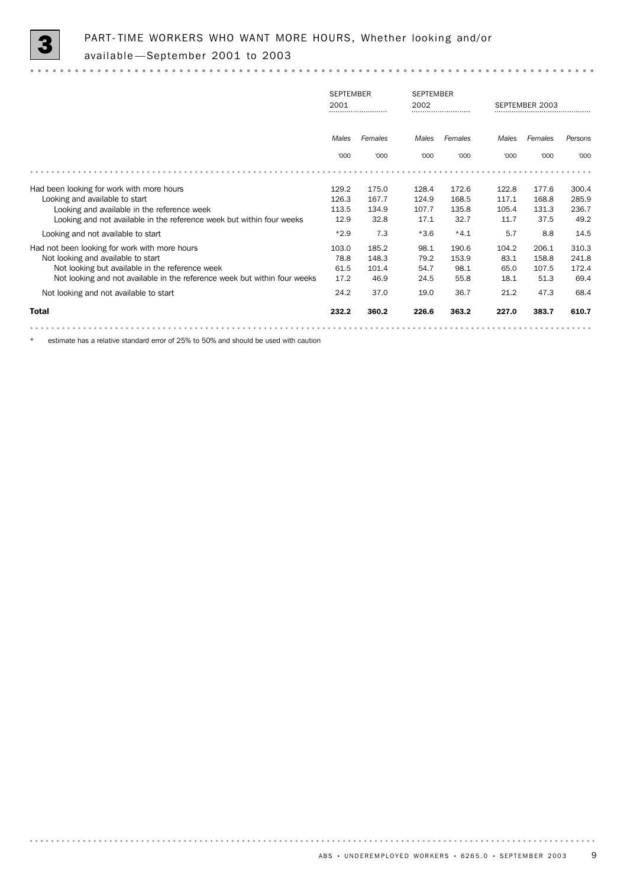

|                                                                           | <b>SEPTEMBER</b><br>2001<br> |       | 2002             | <b>SEPTEMBER</b><br> |       | SEPTEMBER 2003 |         |
|---------------------------------------------------------------------------|------------------------------|-------|------------------|----------------------|-------|----------------|---------|
|                                                                           | Females<br>Males             |       | Females<br>Males |                      | Males | Females        | Persons |
|                                                                           | '000                         | '000  | '000             | '000                 | '000  | '000           | '000    |
|                                                                           |                              |       |                  |                      |       |                |         |
| Had been looking for work with more hours                                 | 129.2                        | 175.0 | 128.4            | 172.6                | 122.8 | 177.6          | 300.4   |
| Looking and available to start                                            | 126.3                        | 167.7 | 124.9            | 168.5                | 117.1 | 168.8          | 285.9   |
| Looking and available in the reference week                               | 113.5                        | 134.9 | 107.7            | 135.8                | 105.4 | 131.3          | 236.7   |
| Looking and not available in the reference week but within four weeks     | 12.9                         | 32.8  | 17.1             | 32.7                 | 11.7  | 37.5           | 49.2    |
| Looking and not available to start                                        | $*2.9$                       | 7.3   | $*3.6$           | $*4.1$               | 5.7   | 8.8            | 14.5    |
| Had not been looking for work with more hours                             | 103.0                        | 185.2 | 98.1             | 190.6                | 104.2 | 206.1          | 310.3   |
| Not looking and available to start                                        | 78.8                         | 148.3 | 79.2             | 153.9                | 83.1  | 158.8          | 241.8   |
| Not looking but available in the reference week                           | 61.5                         | 101.4 | 54.7             | 98.1                 | 65.0  | 107.5          | 172.4   |
| Not looking and not available in the reference week but within four weeks | 17.2                         | 46.9  | 24.5             | 55.8                 | 18.1  | 51.3           | 69.4    |
| Not looking and not available to start                                    | 24.2                         | 37.0  | 19.0             | 36.7                 | 21.2  | 47.3           | 68.4    |
| <b>Total</b>                                                              | 232.2                        | 360.2 | 226.6            | 363.2                | 227.0 | 383.7          | 610.7   |
|                                                                           |                              |       |                  |                      |       |                |         |

estimate has a relative standard error of 25% to 50% and should be used with caution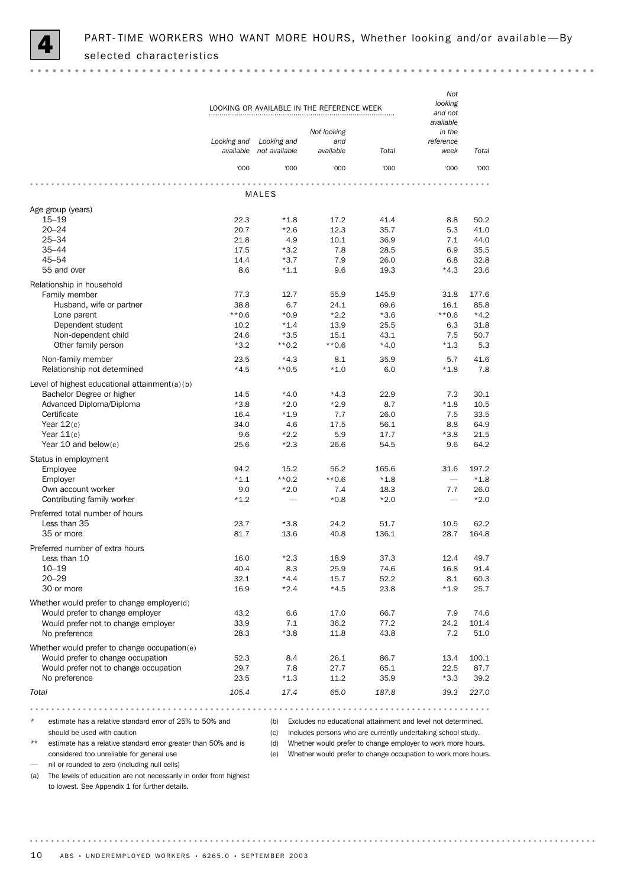

|                                                          | Looking and  | Looking and      | LOOKING OR AVAILABLE IN THE REFERENCE WEEK<br>Not looking<br>and |                                                              | Not<br>looking<br>and not<br>available<br>in the<br>reference |              |
|----------------------------------------------------------|--------------|------------------|------------------------------------------------------------------|--------------------------------------------------------------|---------------------------------------------------------------|--------------|
|                                                          | available    | not available    | available                                                        | Total                                                        | week                                                          | Total        |
|                                                          | '000         | '000             | '000                                                             | '000                                                         | '000                                                          | '000         |
|                                                          |              | MALES            |                                                                  |                                                              |                                                               |              |
| Age group (years)                                        |              |                  |                                                                  |                                                              |                                                               |              |
| $15 - 19$                                                | 22.3         | $*1.8$           | 17.2                                                             | 41.4                                                         | 8.8                                                           | 50.2         |
| $20 - 24$                                                | 20.7         | $*2.6$           | 12.3                                                             | 35.7                                                         | 5.3                                                           | 41.0         |
| $25 - 34$<br>$35 - 44$                                   | 21.8         | 4.9              | 10.1                                                             | 36.9                                                         | 7.1                                                           | 44.0         |
| $45 - 54$                                                | 17.5<br>14.4 | $*3.2$<br>$*3.7$ | 7.8<br>7.9                                                       | 28.5<br>26.0                                                 | 6.9<br>6.8                                                    | 35.5<br>32.8 |
| 55 and over                                              | 8.6          | $*1.1$           | 9.6                                                              | 19.3                                                         | $*4.3$                                                        | 23.6         |
| Relationship in household                                |              |                  |                                                                  |                                                              |                                                               |              |
| Family member                                            | 77.3         | 12.7             | 55.9                                                             | 145.9                                                        | 31.8                                                          | 177.6        |
| Husband, wife or partner                                 | 38.8         | 6.7              | 24.1                                                             | 69.6                                                         | 16.1                                                          | 85.8         |
| Lone parent                                              | $**0.6$      | $*0.9$           | $*2.2$                                                           | $*3.6$                                                       | $**0.6$                                                       | $*4.2$       |
| Dependent student                                        | 10.2         | $*1.4$           | 13.9                                                             | 25.5                                                         | 6.3                                                           | 31.8         |
| Non-dependent child                                      | 24.6         | $*3.5$           | 15.1                                                             | 43.1                                                         | 7.5                                                           | 50.7         |
| Other family person                                      | $*3.2$       | $**0.2$          | $**0.6$                                                          | $*4.0$                                                       | $*1.3$                                                        | 5.3          |
| Non-family member                                        | 23.5         | $*4.3$           | 8.1                                                              | 35.9                                                         | 5.7                                                           | 41.6         |
| Relationship not determined                              | $*4.5$       | $**0.5$          | $*1.0$                                                           | 6.0                                                          | $*1.8$                                                        | 7.8          |
| Level of highest educational attainment(a)(b)            |              |                  |                                                                  |                                                              |                                                               |              |
| Bachelor Degree or higher                                | 14.5         | $*4.0$           | $*4.3$                                                           | 22.9                                                         | 7.3                                                           | 30.1         |
| Advanced Diploma/Diploma                                 | $*3.8$       | $*2.0$           | $*2.9$                                                           | 8.7                                                          | $*1.8$                                                        | 10.5         |
| Certificate                                              | 16.4         | $*1.9$           | 7.7                                                              | 26.0                                                         | 7.5                                                           | 33.5         |
| Year $12(c)$                                             | 34.0         | 4.6              | 17.5                                                             | 56.1                                                         | 8.8                                                           | 64.9         |
| Year $11(c)$                                             | 9.6          | $*2.2$           | 5.9                                                              | 17.7                                                         | $*3.8$                                                        | 21.5         |
| Year 10 and below $(c)$                                  | 25.6         | $*2.3$           | 26.6                                                             | 54.5                                                         | 9.6                                                           | 64.2         |
| Status in employment                                     |              |                  |                                                                  |                                                              |                                                               |              |
| Employee                                                 | 94.2         | 15.2             | 56.2                                                             | 165.6                                                        | 31.6                                                          | 197.2        |
| Employer                                                 | $*1.1$       | $**0.2$          | **0.6                                                            | $*1.8$                                                       |                                                               | $*1.8$       |
| Own account worker                                       | 9.0          | $*2.0$           | 7.4                                                              | 18.3                                                         | 7.7                                                           | 26.0         |
| Contributing family worker                               | $*1.2$       |                  | $*0.8$                                                           | $*2.0$                                                       |                                                               | $*2.0$       |
| Preferred total number of hours                          |              |                  |                                                                  |                                                              |                                                               |              |
| Less than 35                                             | 23.7         | $*3.8$           | 24.2                                                             | 51.7                                                         | 10.5                                                          | 62.2         |
| 35 or more                                               | 81.7         | 13.6             | 40.8                                                             | 136.1                                                        | 28.7                                                          | 164.8        |
| Preferred number of extra hours                          |              |                  |                                                                  |                                                              |                                                               |              |
| Less than 10                                             | 16.0         | $*2.3$           | 18.9                                                             | 37.3                                                         | 12.4                                                          | 49.7         |
| $10 - 19$                                                | 40.4         | 8.3              | 25.9                                                             | 74.6                                                         | 16.8                                                          | 91.4         |
| $20 - 29$                                                | 32.1         | $*4.4$           | 15.7                                                             | 52.2                                                         | 8.1                                                           | 60.3         |
| 30 or more                                               | 16.9         | $*2.4$           | $*4.5$                                                           | 23.8                                                         | $*1.9$                                                        | 25.7         |
| Whether would prefer to change employer(d)               |              |                  |                                                                  |                                                              |                                                               |              |
| Would prefer to change employer                          | 43.2         | 6.6              | 17.0                                                             | 66.7                                                         | 7.9                                                           | 74.6         |
| Would prefer not to change employer                      | 33.9         | 7.1              | 36.2                                                             | 77.2                                                         | 24.2                                                          | 101.4        |
| No preference                                            | 28.3         | $*3.8$           | 11.8                                                             | 43.8                                                         | 7.2                                                           | 51.0         |
| Whether would prefer to change occupation(e)             |              |                  |                                                                  |                                                              |                                                               |              |
| Would prefer to change occupation                        | 52.3         | 8.4              | 26.1                                                             | 86.7                                                         | 13.4                                                          | 100.1        |
| Would prefer not to change occupation                    | 29.7         | 7.8              | 27.7                                                             | 65.1                                                         | 22.5                                                          | 87.7         |
| No preference                                            | 23.5         | $*1.3$           | 11.2                                                             | 35.9                                                         | $*3.3$                                                        | 39.2         |
| Total                                                    | 105.4        | 17.4             | 65.0                                                             | 187.8                                                        | 39.3                                                          | 227.0        |
|                                                          |              |                  |                                                                  |                                                              |                                                               |              |
| estimate has a relative standard error of 25% to 50% and |              | (b)              |                                                                  | Excludes no educational attainment and level not determined. |                                                               |              |
| should be used with caution                              |              | (c)              |                                                                  | Includes persons who are currently undertaking school study. |                                                               |              |

estimate has a relative standard error greater than 50% and is considered too unreliable for general use

(d) Whether would prefer to change employer to work more hours.

— nil or rounded to zero (including null cells)

(e) Whether would prefer to change occupation to work more hours.

(a) The levels of education are not necessarily in order from highest to lowest. See Appendix 1 for further details.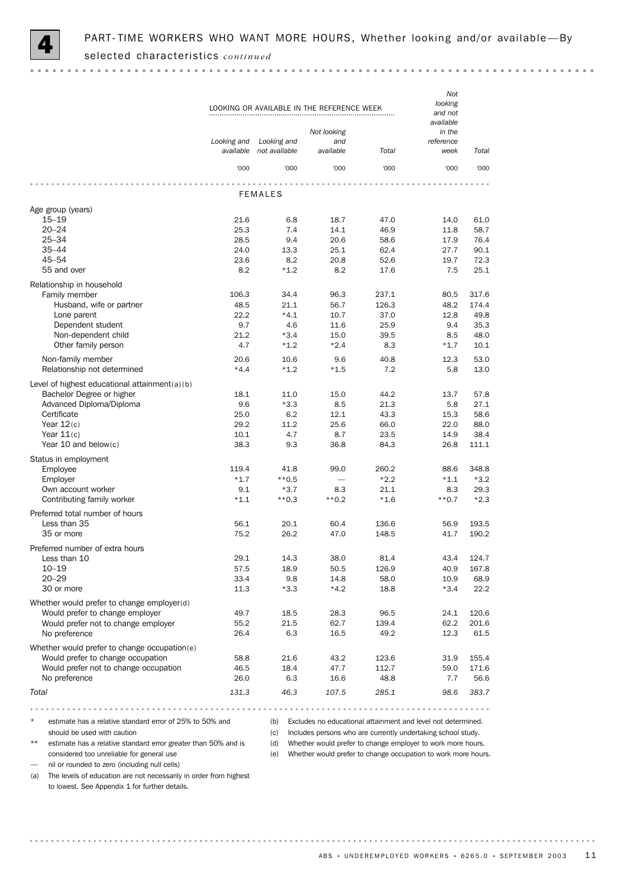

|                                                          | Not<br>looking<br>and not<br>available |                              |                  |                                                              |                   |              |
|----------------------------------------------------------|----------------------------------------|------------------------------|------------------|--------------------------------------------------------------|-------------------|--------------|
|                                                          |                                        |                              | Not looking      |                                                              | in the            |              |
|                                                          | Looking and<br>available               | Looking and<br>not available | and<br>available | Total                                                        | reference<br>week | Total        |
|                                                          | '000                                   | '000                         | '000             | '000                                                         | '000              | '000         |
|                                                          |                                        |                              |                  |                                                              |                   |              |
|                                                          |                                        | <b>FEMALES</b>               |                  |                                                              |                   |              |
| Age group (years)                                        |                                        |                              |                  |                                                              |                   |              |
| $15 - 19$                                                | 21.6                                   | 6.8                          | 18.7             | 47.0                                                         | 14.0              | 61.0         |
| $20 - 24$<br>$25 - 34$                                   | 25.3<br>28.5                           | 7.4<br>9.4                   | 14.1<br>20.6     | 46.9<br>58.6                                                 | 11.8<br>17.9      | 58.7<br>76.4 |
| $35 - 44$                                                | 24.0                                   | 13.3                         | 25.1             | 62.4                                                         | 27.7              | 90.1         |
| $45 - 54$                                                | 23.6                                   | 8.2                          | 20.8             | 52.6                                                         | 19.7              | 72.3         |
| 55 and over                                              | 8.2                                    | $*1.2$                       | 8.2              | 17.6                                                         | 7.5               | 25.1         |
| Relationship in household                                |                                        |                              |                  |                                                              |                   |              |
| Family member                                            | 106.3                                  | 34.4                         | 96.3             | 237.1                                                        | 80.5              | 317.6        |
| Husband, wife or partner                                 | 48.5                                   | 21.1                         | 56.7             | 126.3                                                        | 48.2              | 174.4        |
| Lone parent                                              | 22.2                                   | $*4.1$                       | 10.7             | 37.0                                                         | 12.8              | 49.8         |
| Dependent student                                        | 9.7                                    | 4.6                          | 11.6             | 25.9                                                         | 9.4               | 35.3         |
| Non-dependent child                                      | 21.2                                   | $*3.4$                       | 15.0             | 39.5                                                         | 8.5               | 48.0         |
| Other family person                                      | 4.7                                    | $*1.2$                       | $*2.4$           | 8.3                                                          | $*1.7$            | 10.1         |
| Non-family member                                        | 20.6                                   | 10.6                         | 9.6              | 40.8                                                         | 12.3              | 53.0         |
| Relationship not determined                              | $*4.4$                                 | $*1.2$                       | $*1.5$           | 7.2                                                          | 5.8               | 13.0         |
| Level of highest educational attainment(a)(b)            |                                        |                              |                  |                                                              |                   |              |
| Bachelor Degree or higher                                | 18.1                                   | 11.0                         | 15.0             | 44.2                                                         | 13.7              | 57.8         |
| Advanced Diploma/Diploma                                 | 9.6                                    | $*3.3$                       | 8.5              | 21.3                                                         | 5.8               | 27.1         |
| Certificate                                              | 25.0                                   | 6.2                          | 12.1             | 43.3                                                         | 15.3              | 58.6         |
| Year $12(c)$                                             | 29.2                                   | 11.2                         | 25.6             | 66.0                                                         | 22.0              | 88.0         |
| Year $11(c)$                                             | 10.1                                   | 4.7                          | 8.7              | 23.5                                                         | 14.9              | 38.4         |
| Year 10 and below $(c)$                                  | 38.3                                   | 9.3                          | 36.8             | 84.3                                                         | 26.8              | 111.1        |
| Status in employment                                     |                                        |                              |                  |                                                              |                   |              |
| Employee                                                 | 119.4                                  | 41.8                         | 99.0             | 260.2                                                        | 88.6              | 348.8        |
| Employer                                                 | $*1.7$                                 | $**0.5$                      |                  | $*2.2$                                                       | $*1.1$            | $*3.2$       |
| Own account worker                                       | 9.1                                    | $*3.7$                       | 8.3              | 21.1                                                         | 8.3               | 29.3         |
| Contributing family worker                               | $*1.1$                                 | $**0.3$                      | $**0.2$          | $*1.6$                                                       | $**0.7$           | $*2.3$       |
| Preferred total number of hours                          |                                        |                              |                  |                                                              |                   |              |
| Less than 35                                             | 56.1                                   | 20.1                         | 60.4             | 136.6                                                        | 56.9              | 193.5        |
| 35 or more                                               | 75.2                                   | 26.2                         | 47.0             | 148.5                                                        | 41.7              | 190.2        |
| Preferred number of extra hours                          |                                        |                              |                  |                                                              |                   |              |
| Less than 10                                             | 29.1                                   | 14.3                         | 38.0             | 81.4                                                         | 43.4              | 124.7        |
| $10 - 19$                                                | 57.5                                   | 18.9                         | 50.5             | 126.9                                                        | 40.9              | 167.8        |
| $20 - 29$                                                | 33.4                                   | 9.8                          | 14.8             | 58.0                                                         | 10.9              | 68.9         |
| 30 or more                                               | 11.3                                   | $*3.3$                       | $*4.2$           | 18.8                                                         | $*3.4$            | 22.2         |
| Whether would prefer to change employer(d)               |                                        |                              |                  |                                                              |                   |              |
| Would prefer to change employer                          | 49.7                                   | 18.5                         | 28.3             | 96.5                                                         | 24.1              | 120.6        |
| Would prefer not to change employer                      | 55.2                                   | 21.5                         | 62.7             | 139.4                                                        | 62.2              | 201.6        |
| No preference                                            | 26.4                                   | 6.3                          | 16.5             | 49.2                                                         | 12.3              | 61.5         |
| Whether would prefer to change occupation(e)             |                                        |                              |                  |                                                              |                   |              |
| Would prefer to change occupation                        | 58.8                                   | 21.6                         | 43.2             | 123.6                                                        | 31.9              | 155.4        |
| Would prefer not to change occupation                    | 46.5                                   | 18.4                         | 47.7             | 112.7                                                        | 59.0              | 171.6        |
| No preference                                            | 26.0                                   | 6.3                          | 16.6             | 48.8                                                         | 7.7               | 56.6         |
| Total                                                    | 131.3                                  | 46.3                         | 107.5            | 285.1                                                        | 98.6              | 383.7        |
|                                                          |                                        |                              |                  |                                                              |                   |              |
|                                                          |                                        |                              |                  |                                                              |                   |              |
| estimate has a relative standard error of 25% to 50% and |                                        | (b)                          |                  | Excludes no educational attainment and level not determined. |                   |              |
| should be used with caution                              |                                        | (c)                          |                  | Includes persons who are currently undertaking school study. |                   |              |

estimate has a relative standard error greater than 50% and is considered too unreliable for general use

(d) Whether would prefer to change employer to work more hours. (e) Whether would prefer to change occupation to work more hours.

— nil or rounded to zero (including null cells)

(a) The levels of education are not necessarily in order from highest to lowest. See Appendix 1 for further details.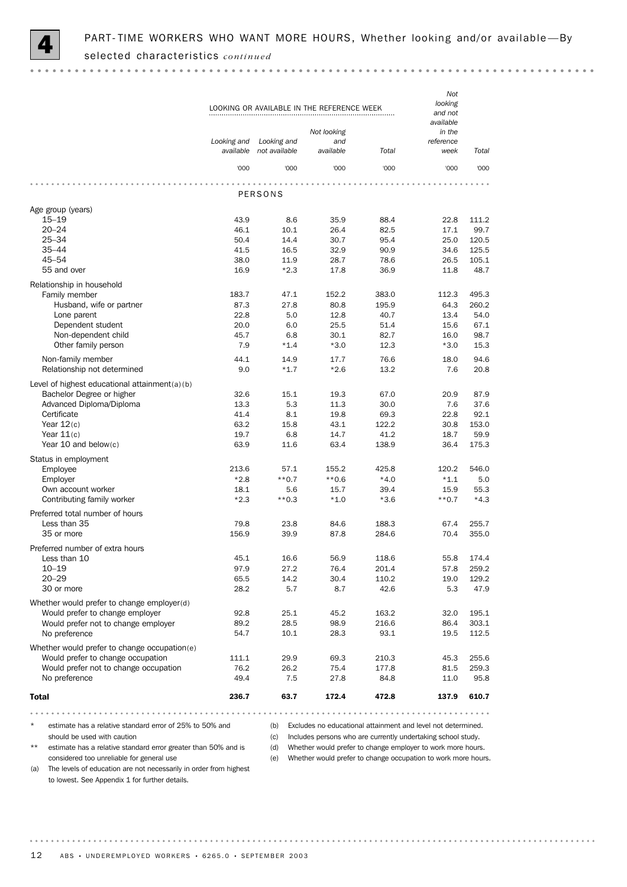

*Not looking* LOOKING OR AVAILABLE IN THE REFERENCE WEEK *and not available Not looking in the and reference Looking and Looking and not available available Total available Total week* '000 '000 '000 '000 '000 '000 PERSONS Age group (years) 15–19 43.9 8.6 35.9 88.4 22.8 111.2 20–24 46.1 10.1 26.4 82.5 17.1 99.7 25–34 50.4 14.4 30.7 95.4 25.0 120.5 35–44 41.5 16.5 32.9 90.9 34.6 125.5 45–54 38.0 11.9 28.7 78.6 26.5 105.1 55 and over 16.9 \*2.3 17.8 36.9 11.8 48.7 Relationship in household Family member 183.7 47.1 152.2 383.0 112.3 495.3 Husband, wife or partner 87.3 27.8 80.8 195.9 64.3 260.2 Lone parent 13.4 54.0 12.8 12.8 12.8 13.4 54.0 Dependent student 20.0 6.0 25.5 51.4 15.6 67.1 Non-dependent child  $45.7$   $6.8$   $30.1$   $82.7$   $16.0$   $98.7$ Other family person **7.9**  $*1.4$   $*3.0$  12.3  $*3.0$  15.3 Non-family member 18.0 14.0 14.1 14.9 17.7 76.6 18.0 94.6 Relationship not determined 0.0  $*1.7$   $*2.6$  13.2 7.6 20.8 Level of highest educational attainment(a)(b) Bachelor Degree or higher 32.6 15.1 19.3 67.0 20.9 87.9 Advanced Diploma/Diploma 13.3 5.3 11.3 30.0 7.6 37.6 Certificate 41.4 8.1 19.8 69.3 22.8 92.1 Year 12(c) 63.2 15.8 43.1 122.2 30.8 153.0 Year 11(c) 19.7 6.8 14.7 41.2 18.7 59.9 Year 10 and below(c) **63.9** 11.6 63.4 138.9 36.4 175.3 Status in employment Employee 213.6 57.1 155.2 425.8 120.2 546.0 Employer \*2.8 \*\*0.7 \*\*0.6 \*4.0 \*1.1 5.0 Own account worker 18.1 5.6 15.7 39.4 15.9 55.3 Contributing family worker \*2.3 \*\*0.3 \*1.0 \*3.6 \*\*0.7 \*4.3 Preferred total number of hours<br>Less than 35 Less than 35 **79.8** 23.8 84.6 188.3 67.4 255.7 35 or more 156.9 39.9 87.8 284.6 70.4 355.0 Preferred number of extra hours<br>Less than 10 Less than 10 **16.6** 16.6 16.6 16.6 118.6 174.4 10–19 97.9 27.2 76.4 201.4 57.8 259.2 20–29 65.5 14.2 30.4 110.2 19.0 129.2 30 or more 28.2 5.7 8.7 42.6 5.3 47.9 Whether would prefer to change employer(d) Would prefer to change employer **92.8** 25.1 45.2 163.2 32.0 195.1 Would prefer not to change employer  $\begin{array}{cccc} 89.2 & 28.5 & 98.9 & 216.6 & 86.4 & 303.1 \\ \text{No preference} & 54.7 & 10.1 & 28.3 & 93.1 & 19.5 & 112.5 \end{array}$ No preference 54.7 10.1 28.3 93.1 19.5 112.5 Whether would prefer to change occupation(e) Would prefer to change occupation 111.1 29.9 69.3 210.3 45.3 255.6 Would prefer not to change occupation  $76.2$  26.2  $75.4$  177.8 81.5 259.3 No preference **19.4** 27.5 27.8 84.8 11.0 95.8 Total 236.7 63.7 172.4 472.8 137.9 610.7

estimate has a relative standard error of 25% to 50% and

(b) Excludes no educational attainment and level not determined.

should be used with caution

(c) Includes persons who are currently undertaking school study.

\*\* estimate has a relative standard error greater than 50% and is considered too unreliable for general use

(d) Whether would prefer to change employer to work more hours.

(e) Whether would prefer to change occupation to work more hours.

(a) The levels of education are not necessarily in order from highest to lowest. See Appendix 1 for further details.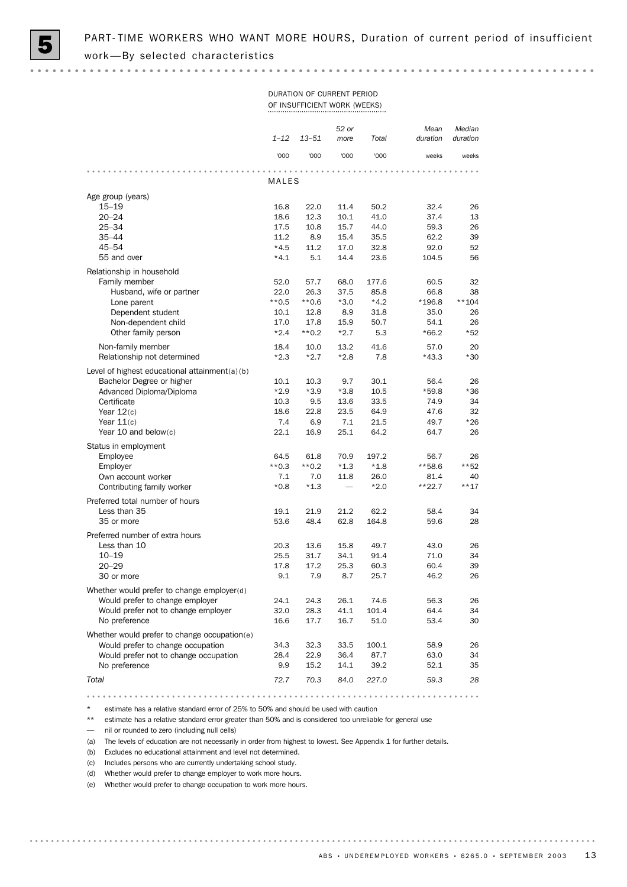### DURATION OF CURRENT PERIOD OF INSUFFICIENT WORK (WEEKS)

|                                                       | $1 - 12$       | $13 - 51$      | 52 or<br>more | Total        | Mean<br>duration | Median<br>duration |
|-------------------------------------------------------|----------------|----------------|---------------|--------------|------------------|--------------------|
|                                                       | '000           | '000           | '000          | '000         | weeks            | weeks              |
|                                                       | MALES          |                |               |              |                  |                    |
| Age group (years)                                     |                |                |               |              |                  |                    |
| $15 - 19$                                             | 16.8           | 22.0           | 11.4          | 50.2         | 32.4             | 26                 |
| $20 - 24$                                             | 18.6           | 12.3           | 10.1          | 41.0         | 37.4             | 13                 |
| $25 - 34$                                             | 17.5           | 10.8           | 15.7          | 44.0         | 59.3             | 26                 |
| $35 - 44$                                             | 11.2           | 8.9            | 15.4          | 35.5         | 62.2             | 39                 |
| 45-54                                                 | $*4.5$         | 11.2           | 17.0          | 32.8         | 92.0             | 52                 |
| 55 and over                                           | $*4.1$         | 5.1            | 14.4          | 23.6         | 104.5            | 56                 |
| Relationship in household                             |                |                |               |              |                  |                    |
| Family member                                         | 52.0           | 57.7           | 68.0          | 177.6        | 60.5             | 32                 |
| Husband, wife or partner                              | 22.0           | 26.3           | 37.5          | 85.8         | 66.8             | 38                 |
| Lone parent                                           | $**0.5$        | $**0.6$        | $*3.0$        | $*4.2$       | $*196.8$         | $**104$            |
| Dependent student                                     | 10.1           | 12.8           | 8.9           | 31.8         | 35.0             | 26                 |
| Non-dependent child                                   | 17.0           | 17.8           | 15.9          | 50.7         | 54.1             | 26                 |
| Other family person                                   | $*2.4$         | $**0.2$        | $*2.7$        | 5.3          | $*66.2$          | *52                |
| Non-family member                                     | 18.4           | 10.0           | 13.2          | 41.6         | 57.0             | 20                 |
| Relationship not determined                           | $*2.3$         | $*2.7$         | $*2.8$        | 7.8          | $*43.3$          | $*30$              |
|                                                       |                |                |               |              |                  |                    |
| Level of highest educational attainment(a)(b)         |                |                |               |              |                  |                    |
| Bachelor Degree or higher<br>Advanced Diploma/Diploma | 10.1<br>$*2.9$ | 10.3<br>$*3.9$ | 9.7<br>$*3.8$ | 30.1<br>10.5 | 56.4<br>$*59.8$  | 26<br>$*36$        |
| Certificate                                           | 10.3           | 9.5            | 13.6          | 33.5         | 74.9             | 34                 |
| Year $12(c)$                                          | 18.6           | 22.8           | 23.5          | 64.9         | 47.6             | 32                 |
| Year $11(c)$                                          | 7.4            | 6.9            | 7.1           | 21.5         | 49.7             | $*26$              |
| Year 10 and below(c)                                  | 22.1           | 16.9           | 25.1          | 64.2         | 64.7             | 26                 |
|                                                       |                |                |               |              |                  |                    |
| Status in employment                                  |                |                |               |              |                  |                    |
| Employee                                              | 64.5           | 61.8           | 70.9          | 197.2        | 56.7             | 26                 |
| Employer                                              | $**0.3$        | $**0.2$        | $*1.3$        | $*1.8$       | **58.6           | $***52$            |
| Own account worker<br>Contributing family worker      | 7.1            | 7.0            | 11.8          | 26.0         | 81.4             | 40<br>$***17$      |
|                                                       | $*0.8$         | $*1.3$         |               | $*2.0$       | $***22.7$        |                    |
| Preferred total number of hours                       |                |                |               |              |                  |                    |
| Less than 35                                          | 19.1           | 21.9           | 21.2          | 62.2         | 58.4             | 34                 |
| 35 or more                                            | 53.6           | 48.4           | 62.8          | 164.8        | 59.6             | 28                 |
| Preferred number of extra hours                       |                |                |               |              |                  |                    |
| Less than 10                                          | 20.3           | 13.6           | 15.8          | 49.7         | 43.0             | 26                 |
| $10 - 19$                                             | 25.5           | 31.7           | 34.1          | 91.4         | 71.0             | 34                 |
| $20 - 29$                                             | 17.8           | 17.2           | 25.3          | 60.3         | 60.4             | 39                 |
| 30 or more                                            | 9.1            | 7.9            | 8.7           | 25.7         | 46.2             | 26                 |
| Whether would prefer to change employer(d)            |                |                |               |              |                  |                    |
| Would prefer to change employer                       | 24.1           | 24.3           | 26.1          | 74.6         | 56.3             | 26                 |
| Would prefer not to change employer                   | 32.0           | 28.3           | 41.1          | 101.4        | 64.4             | 34                 |
| No preference                                         | 16.6           | 17.7           | 16.7          | 51.0         | 53.4             | 30                 |
| Whether would prefer to change occupation(e)          |                |                |               |              |                  |                    |
| Would prefer to change occupation                     | 34.3           | 32.3           | 33.5          | 100.1        | 58.9             | 26                 |
| Would prefer not to change occupation                 | 28.4           | 22.9           | 36.4          | 87.7         | 63.0             | 34                 |
| No preference                                         | 9.9            | 15.2           | 14.1          | 39.2         | 52.1             | 35                 |
|                                                       |                |                |               |              |                  |                    |
| Total                                                 | 72.7           | 70.3           | 84.0          | 227.0        | 59.3             | 28                 |

estimate has a relative standard error of 25% to 50% and should be used with caution

\*\* estimate has a relative standard error greater than 50% and is considered too unreliable for general use

— nil or rounded to zero (including null cells)

(a) The levels of education are not necessarily in order from highest to lowest. See Appendix 1 for further details.

(b) Excludes no educational attainment and level not determined.

(c) Includes persons who are currently undertaking school study.

(d) Whether would prefer to change employer to work more hours.

(e) Whether would prefer to change occupation to work more hours.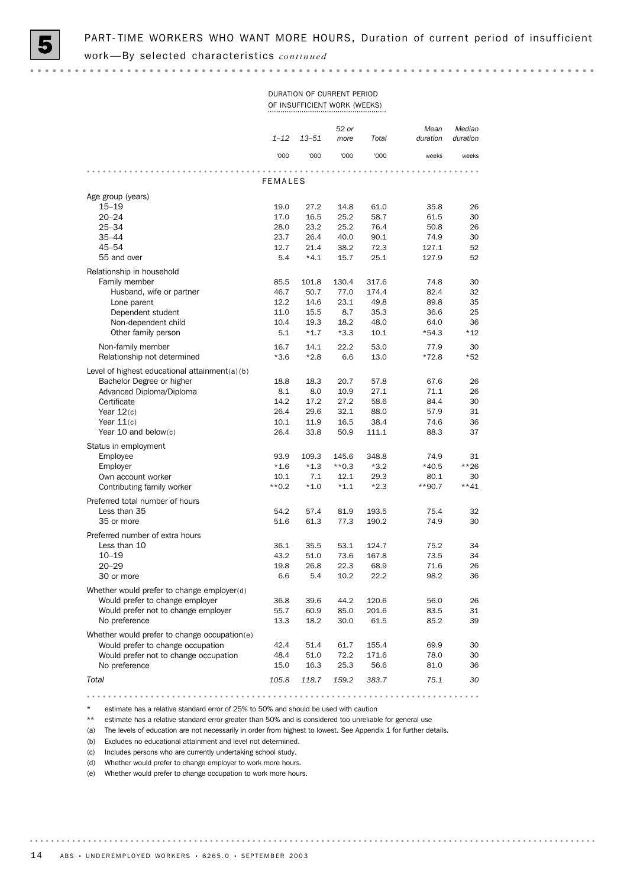### DURATION OF CURRENT PERIOD OF INSUFFICIENT WORK (WEEKS)

|                                                                               | $1 - 12$       | $13 - 51$     | 52 or<br>more | Total          | Mean<br>duration | Median<br>duration |
|-------------------------------------------------------------------------------|----------------|---------------|---------------|----------------|------------------|--------------------|
|                                                                               | '000           | '000          | '000          | '000           | weeks            | weeks              |
|                                                                               |                |               |               |                |                  |                    |
|                                                                               | <b>FEMALES</b> |               |               |                |                  |                    |
| Age group (years)                                                             |                |               |               |                |                  |                    |
| $15 - 19$                                                                     | 19.0           | 27.2          | 14.8          | 61.0           | 35.8             | 26                 |
| $20 - 24$                                                                     | 17.0           | 16.5          | 25.2          | 58.7           | 61.5             | 30                 |
| 25-34<br>$35 - 44$                                                            | 28.0<br>23.7   | 23.2<br>26.4  | 25.2<br>40.0  | 76.4<br>90.1   | 50.8<br>74.9     | 26<br>30           |
| 45-54                                                                         | 12.7           | 21.4          | 38.2          | 72.3           | 127.1            | 52                 |
| 55 and over                                                                   | 5.4            | $*4.1$        | 15.7          | 25.1           | 127.9            | 52                 |
|                                                                               |                |               |               |                |                  |                    |
| Relationship in household                                                     |                |               |               |                |                  |                    |
| Family member<br>Husband, wife or partner                                     | 85.5<br>46.7   | 101.8<br>50.7 | 130.4<br>77.0 | 317.6<br>174.4 | 74.8<br>82.4     | 30<br>32           |
| Lone parent                                                                   | 12.2           | 14.6          | 23.1          | 49.8           | 89.8             | 35                 |
| Dependent student                                                             | 11.0           | 15.5          | 8.7           | 35.3           | 36.6             | 25                 |
| Non-dependent child                                                           | 10.4           | 19.3          | 18.2          | 48.0           | 64.0             | 36                 |
| Other family person                                                           | 5.1            | $*1.7$        | $*3.3$        | 10.1           | $*54.3$          | $*12$              |
| Non-family member                                                             | 16.7           | 14.1          | 22.2          | 53.0           | 77.9             | 30                 |
| Relationship not determined                                                   | $*3.6$         | $*2.8$        | 6.6           | 13.0           | $*72.8$          | *52                |
|                                                                               |                |               |               |                |                  |                    |
| Level of highest educational attainment(a)(b)<br>Bachelor Degree or higher    |                |               |               |                |                  |                    |
| Advanced Diploma/Diploma                                                      | 18.8<br>8.1    | 18.3<br>8.0   | 20.7<br>10.9  | 57.8<br>27.1   | 67.6<br>71.1     | 26<br>26           |
| Certificate                                                                   | 14.2           | 17.2          | 27.2          | 58.6           | 84.4             | 30                 |
| Year $12(c)$                                                                  | 26.4           | 29.6          | 32.1          | 88.0           | 57.9             | 31                 |
| Year $11(c)$                                                                  | 10.1           | 11.9          | 16.5          | 38.4           | 74.6             | 36                 |
| Year 10 and below $(c)$                                                       | 26.4           | 33.8          | 50.9          | 111.1          | 88.3             | 37                 |
| Status in employment                                                          |                |               |               |                |                  |                    |
| Employee                                                                      | 93.9           | 109.3         | 145.6         | 348.8          | 74.9             | 31                 |
| Employer                                                                      | $*1.6$         | $*1.3$        | $**0.3$       | $*3.2$         | $*40.5$          | **26               |
| Own account worker                                                            | 10.1           | 7.1           | 12.1          | 29.3           | 80.1             | 30                 |
| Contributing family worker                                                    | $**0.2$        | $*1.0$        | $*1.1$        | $*2.3$         | $**90.7$         | $***41$            |
| Preferred total number of hours                                               |                |               |               |                |                  |                    |
| Less than 35                                                                  | 54.2           | 57.4          | 81.9          | 193.5          | 75.4             | 32                 |
| 35 or more                                                                    | 51.6           | 61.3          | 77.3          | 190.2          | 74.9             | 30                 |
|                                                                               |                |               |               |                |                  |                    |
| Preferred number of extra hours<br>Less than 10                               | 36.1           | 35.5          | 53.1          | 124.7          | 75.2             | 34                 |
| $10 - 19$                                                                     | 43.2           | 51.0          | 73.6          | 167.8          | 73.5             | 34                 |
| $20 - 29$                                                                     | 19.8           | 26.8          | 22.3          | 68.9           | 71.6             | 26                 |
| 30 or more                                                                    | 6.6            | 5.4           | 10.2          | 22.2           | 98.2             | 36                 |
|                                                                               |                |               |               |                |                  |                    |
| Whether would prefer to change employer(d)<br>Would prefer to change employer | 36.8           | 39.6          | 44.2          | 120.6          | 56.0             | 26                 |
| Would prefer not to change employer                                           | 55.7           | 60.9          | 85.0          | 201.6          | 83.5             | 31                 |
| No preference                                                                 | 13.3           | 18.2          | 30.0          | 61.5           | 85.2             | 39                 |
|                                                                               |                |               |               |                |                  |                    |
| Whether would prefer to change occupation(e)                                  |                |               |               |                |                  |                    |
| Would prefer to change occupation<br>Would prefer not to change occupation    | 42.4<br>48.4   | 51.4<br>51.0  | 61.7<br>72.2  | 155.4<br>171.6 | 69.9<br>78.0     | 30<br>30           |
| No preference                                                                 | 15.0           | 16.3          | 25.3          | 56.6           | 81.0             | 36                 |
|                                                                               |                |               |               |                |                  |                    |
| Total                                                                         | 105.8          | 118.7         | 159.2         | 383.7          | 75.1             | 30                 |

estimate has a relative standard error of 25% to 50% and should be used with caution

\*\* estimate has a relative standard error greater than 50% and is considered too unreliable for general use

(a) The levels of education are not necessarily in order from highest to lowest. See Appendix 1 for further details.

(b) Excludes no educational attainment and level not determined.

(c) Includes persons who are currently undertaking school study.

(d) Whether would prefer to change employer to work more hours.

(e) Whether would prefer to change occupation to work more hours.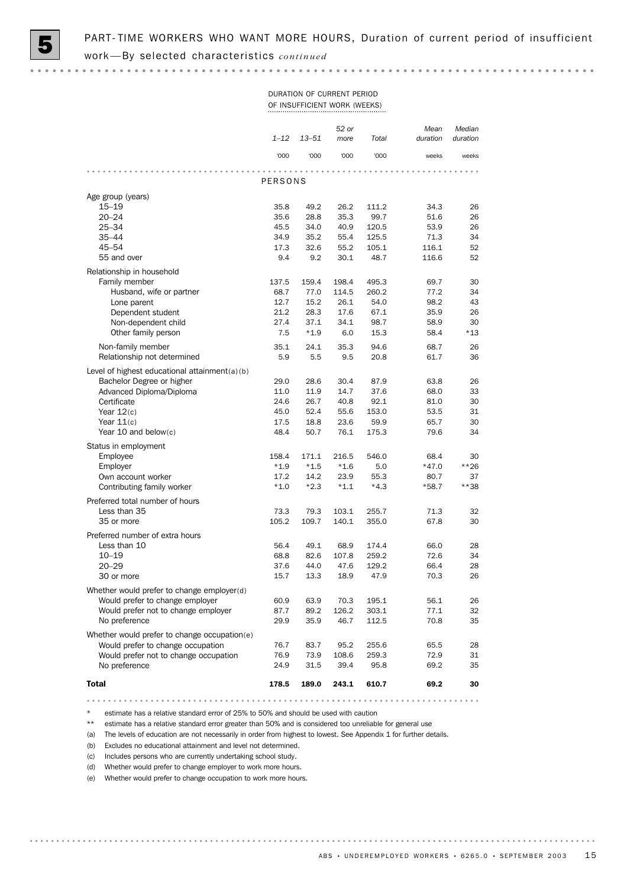### DURATION OF CURRENT PERIOD OF INSUFFICIENT WORK (WEEKS)

|                                                                            | $1 - 12$      | $13 - 51$     | 52 or<br>more  | Total          | Mean<br>duration | Median<br>duration |
|----------------------------------------------------------------------------|---------------|---------------|----------------|----------------|------------------|--------------------|
|                                                                            | '000          | '000          | '000           | '000           | weeks            | weeks              |
|                                                                            |               |               |                |                |                  |                    |
|                                                                            | PERSONS       |               |                |                |                  |                    |
| Age group (years)                                                          |               |               |                |                |                  |                    |
| $15 - 19$                                                                  | 35.8          | 49.2          | 26.2           | 111.2          | 34.3             | 26                 |
| $20 - 24$                                                                  | 35.6          | 28.8          | 35.3           | 99.7           | 51.6             | 26                 |
| $25 - 34$                                                                  | 45.5          | 34.0          | 40.9           | 120.5          | 53.9             | 26                 |
| $35 - 44$<br>$45 - 54$                                                     | 34.9          | 35.2          | 55.4           | 125.5          | 71.3             | 34                 |
| 55 and over                                                                | 17.3<br>9.4   | 32.6<br>9.2   | 55.2<br>30.1   | 105.1<br>48.7  | 116.1<br>116.6   | 52<br>52           |
|                                                                            |               |               |                |                |                  |                    |
| Relationship in household                                                  |               |               |                |                |                  |                    |
| Family member<br>Husband, wife or partner                                  | 137.5<br>68.7 | 159.4<br>77.0 | 198.4<br>114.5 | 495.3<br>260.2 | 69.7<br>77.2     | 30<br>34           |
| Lone parent                                                                | 12.7          | 15.2          | 26.1           | 54.0           | 98.2             | 43                 |
| Dependent student                                                          | 21.2          | 28.3          | 17.6           | 67.1           | 35.9             | 26                 |
| Non-dependent child                                                        | 27.4          | 37.1          | 34.1           | 98.7           | 58.9             | 30                 |
| Other family person                                                        | 7.5           | $*1.9$        | 6.0            | 15.3           | 58.4             | *13                |
| Non-family member                                                          | 35.1          | 24.1          | 35.3           | 94.6           | 68.7             | 26                 |
| Relationship not determined                                                | 5.9           | 5.5           | 9.5            | 20.8           | 61.7             | 36                 |
|                                                                            |               |               |                |                |                  |                    |
| Level of highest educational attainment(a)(b)<br>Bachelor Degree or higher | 29.0          | 28.6          | 30.4           | 87.9           | 63.8             | 26                 |
| Advanced Diploma/Diploma                                                   | 11.0          | 11.9          | 14.7           | 37.6           | 68.0             | 33                 |
| Certificate                                                                | 24.6          | 26.7          | 40.8           | 92.1           | 81.0             | 30                 |
| Year $12(c)$                                                               | 45.0          | 52.4          | 55.6           | 153.0          | 53.5             | 31                 |
| Year $11(c)$                                                               | 17.5          | 18.8          | 23.6           | 59.9           | 65.7             | 30                 |
| Year 10 and below(c)                                                       | 48.4          | 50.7          | 76.1           | 175.3          | 79.6             | 34                 |
| Status in employment                                                       |               |               |                |                |                  |                    |
| Employee                                                                   | 158.4         | 171.1         | 216.5          | 546.0          | 68.4             | 30                 |
| Employer                                                                   | $*1.9$        | $*1.5$        | $*1.6$         | 5.0            | $*47.0$          | $***26$            |
| Own account worker                                                         | 17.2          | 14.2          | 23.9           | 55.3           | 80.7             | 37                 |
| Contributing family worker                                                 | $*1.0$        | $*2.3$        | $*1.1$         | $*4.3$         | $*58.7$          | **38               |
| Preferred total number of hours                                            |               |               |                |                |                  |                    |
| Less than 35                                                               | 73.3          | 79.3          | 103.1          | 255.7          | 71.3             | 32                 |
| 35 or more                                                                 | 105.2         | 109.7         | 140.1          | 355.0          | 67.8             | 30                 |
| Preferred number of extra hours                                            |               |               |                |                |                  |                    |
| Less than 10                                                               | 56.4          | 49.1          | 68.9           | 174.4          | 66.0             | 28                 |
| $10 - 19$                                                                  | 68.8          | 82.6          | 107.8          | 259.2          | 72.6             | 34                 |
| $20 - 29$                                                                  | 37.6          | 44.0          | 47.6           | 129.2          | 66.4             | 28                 |
| 30 or more                                                                 | 15.7          | 13.3          | 18.9           | 47.9           | 70.3             | 26                 |
| Whether would prefer to change employer(d)                                 |               |               |                |                |                  |                    |
| Would prefer to change employer                                            | 60.9          | 63.9          | 70.3           | 195.1          | 56.1             | 26                 |
| Would prefer not to change employer                                        | 87.7          | 89.2          | 126.2          | 303.1          | 77.1             | 32                 |
| No preference                                                              | 29.9          | 35.9          | 46.7           | 112.5          | 70.8             | 35                 |
| Whether would prefer to change occupation(e)                               |               |               |                |                |                  |                    |
| Would prefer to change occupation                                          | 76.7          | 83.7          | 95.2           | 255.6          | 65.5             | 28                 |
| Would prefer not to change occupation                                      | 76.9          | 73.9          | 108.6          | 259.3          | 72.9             | 31                 |
| No preference                                                              | 24.9          | 31.5          | 39.4           | 95.8           | 69.2             | 35                 |
| <b>Total</b>                                                               | 178.5         | 189.0         | 243.1          | 610.7          | 69.2             | 30                 |

\* estimate has a relative standard error of 25% to 50% and should be used with caution

\*\* estimate has a relative standard error greater than 50% and is considered too unreliable for general use

(a) The levels of education are not necessarily in order from highest to lowest. See Appendix 1 for further details.

(b) Excludes no educational attainment and level not determined.

(c) Includes persons who are currently undertaking school study.

(d) Whether would prefer to change employer to work more hours.

(e) Whether would prefer to change occupation to work more hours.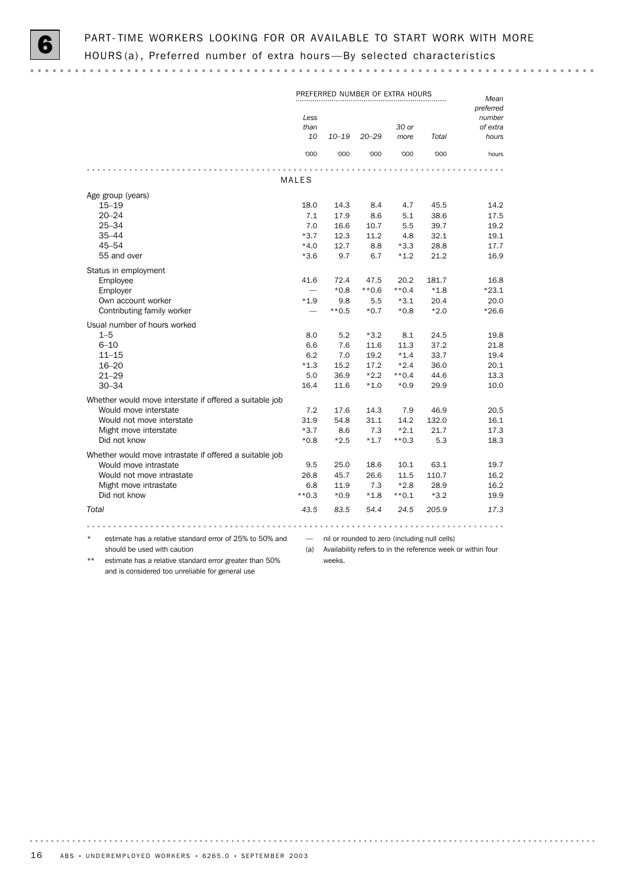

PREFERRED NUMBER OF EXTRA HOURS *Mean preferred Less number 30 or than of extra 10–19 20–29 more 10 Total hours* '000 '000 '000 '000 '000 hours MALES Age group (years) 15–19 18.0 14.3 8.4 4.7 45.5 14.2 20–24 7.1 17.9 8.6 5.1 38.6 17.5 25–34 7.0 16.6 10.7 5.5 39.7 19.2 35–44 \*3.7 12.3 11.2 4.8 32.1 19.1 45–54 \*4.0 12.7 8.8 \*3.3 28.8 17.7 55 and over \*3.6 9.7 6.7 \*1.2 21.2 16.9 Status in employment Employee 1.1.6 72.4 47.5 20.2 181.7 16.8<br>Employer 1.8  $+0.8$   $+0.8$   $+0.6$   $+0.4$   $+1.8$   $+23.1$ Employer — \*0.8 \*\*0.6 \*\*0.4 \*1.8 \*23.1 Own account worker \*1.9 9.8 5.5 \*3.1 20.4 20.0 Contributing family worker  $*0.5$   $*0.7$   $*0.8$   $*2.0$   $*26.6$ Usual number of hours worked  $1-5$  8.0 5.2  $*3.2$  8.1 24.5 19.8 6-10 6.6 7.6 11.6 11.3 37.2 21.8 6–10 6.6 7.6 11.6 11.3 37.2 21.8 11–15 6.2 7.0 19.2 \*1.4 33.7 19.4 16–20 \*1.3 15.2 17.2 \*2.4 36.0 20.1 21–29 5.0 36.9 \*2.2 \*\*0.4 44.6 13.3 30–34 16.4 11.6 \*1.0 \*0.9 29.9 10.0 Whether would move interstate if offered a suitable job Would move interstate 7.2 17.6 14.3 7.9 46.9 20.5 Would not move interstate 31.9 54.8 31.1 14.2 132.0 16.1 Might move interstate **the state** that the state that the state that the state of the state of the state of the state of the state of the state of the state of the state of the state of the state of the state of the state Did not know \*0.8 \*2.5 \*1.7 \*\*0.3 5.3 18.3 Whether would move intrastate if offered a suitable job Would move intrastate  $9.5$  25.0 18.6 10.1 63.1 19.7 Would not move intrastate  $26.8$  45.7 26.6 11.5 110.7 16.2 Might move intrastate 6.8 11.9 7.3 \*2.8 28.9 16.2 Did not know  $**0.3$   $*0.9$   $*1.8$   $*0.1$   $*3.2$  19.9 *Total 43.5 83.5 54.4 24.5 205.9 17.3* estimate has a relative standard error of 25% to 50% and — nil or rounded to zero (including null cells) should be used with caution (a) Availability refers to in the reference week or within four

estimate has a relative standard error greater than 50% and is considered too unreliable for general use

weeks.

16 ABS • UNDEREMPLOYED WORKERS • 6265.0 • SEPTEMBER 2003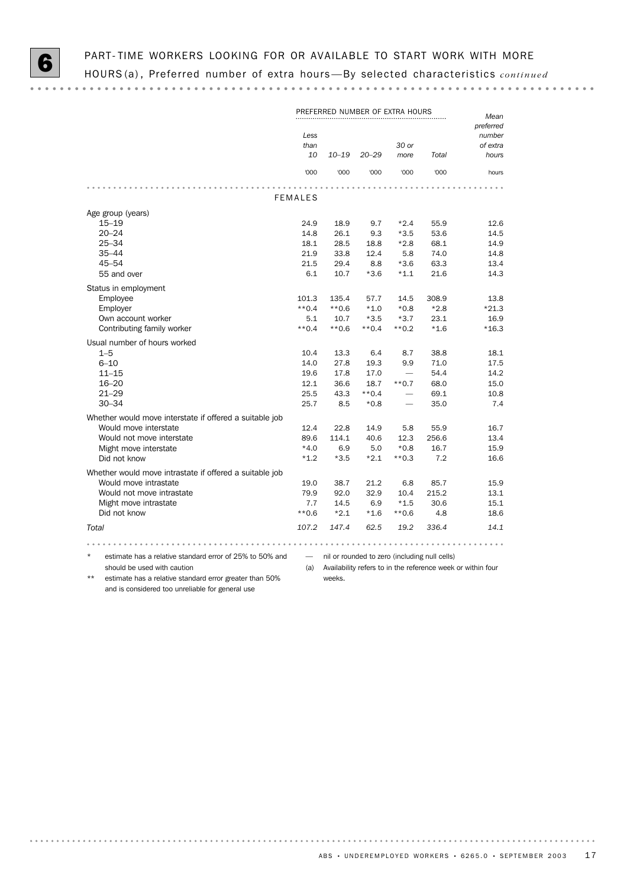$\frac{1}{2}$  and  $\frac{1}{2}$  and  $\frac{1}{2}$ 

|                                                                      |                    | PREFERRED NUMBER OF EXTRA HOURS |           |               |                                               | Mean                                                        |
|----------------------------------------------------------------------|--------------------|---------------------------------|-----------|---------------|-----------------------------------------------|-------------------------------------------------------------|
|                                                                      | Less<br>than<br>10 | $10 - 19$                       | $20 - 29$ | 30 or<br>more | Total                                         | preferred<br>number<br>of extra<br>hours                    |
|                                                                      | '000               | '000                            | '000      | '000          | '000                                          | hours                                                       |
|                                                                      | <b>FEMALES</b>     |                                 |           |               |                                               |                                                             |
| Age group (years)                                                    |                    |                                 |           |               |                                               |                                                             |
| $15 - 19$                                                            | 24.9               | 18.9                            | 9.7       | $*2.4$        | 55.9                                          | 12.6                                                        |
| $20 - 24$                                                            | 14.8               | 26.1                            | 9.3       | $*3.5$        | 53.6                                          | 14.5                                                        |
| $25 - 34$                                                            | 18.1               | 28.5                            | 18.8      | $*2.8$        | 68.1                                          | 14.9                                                        |
| $35 - 44$                                                            | 21.9               | 33.8                            | 12.4      | 5.8           | 74.0                                          | 14.8                                                        |
| $45 - 54$                                                            | 21.5               | 29.4                            | 8.8       | $*3.6$        | 63.3                                          | 13.4                                                        |
| 55 and over                                                          | 6.1                | 10.7                            | $*3.6$    | $*1.1$        | 21.6                                          | 14.3                                                        |
| Status in employment                                                 |                    |                                 |           |               |                                               |                                                             |
| Employee                                                             | 101.3              | 135.4                           | 57.7      | 14.5          | 308.9                                         | 13.8                                                        |
| Employer                                                             | $**0.4$            | $**0.6$                         | $*1.0$    | $*0.8$        | $*2.8$                                        | $*21.3$                                                     |
| Own account worker                                                   | 5.1                | 10.7                            | $*3.5$    | $*3.7$        | 23.1                                          | 16.9                                                        |
| Contributing family worker                                           | $**0.4$            | $**0.6$                         | $**0.4$   | $**0.2$       | $*1.6$                                        | $*16.3$                                                     |
| Usual number of hours worked                                         |                    |                                 |           |               |                                               |                                                             |
| $1 - 5$                                                              | 10.4               | 13.3                            | 6.4       | 8.7           | 38.8                                          | 18.1                                                        |
| $6 - 10$                                                             | 14.0               | 27.8                            | 19.3      | 9.9           | 71.0                                          | 17.5                                                        |
| $11 - 15$                                                            | 19.6               | 17.8                            | 17.0      |               | 54.4                                          | 14.2                                                        |
| $16 - 20$                                                            | 12.1               | 36.6                            | 18.7      | $**0.7$       | 68.0                                          | 15.0                                                        |
| $21 - 29$                                                            | 25.5               | 43.3                            | $**0.4$   |               | 69.1                                          | 10.8                                                        |
| $30 - 34$                                                            | 25.7               | 8.5                             | $*0.8$    |               | 35.0                                          | 7.4                                                         |
| Whether would move interstate if offered a suitable job              |                    |                                 |           |               |                                               |                                                             |
| Would move interstate                                                | 12.4               | 22.8                            | 14.9      | 5.8           | 55.9                                          | 16.7                                                        |
| Would not move interstate                                            | 89.6               | 114.1                           | 40.6      | 12.3          | 256.6                                         | 13.4                                                        |
| Might move interstate                                                | $*4.0$             | 6.9                             | 5.0       | $*0.8$        | 16.7                                          | 15.9                                                        |
| Did not know                                                         | $*1.2$             | $*3.5$                          | $*2.1$    | $**0.3$       | 7.2                                           | 16.6                                                        |
| Whether would move intrastate if offered a suitable job              |                    |                                 |           |               |                                               |                                                             |
| Would move intrastate                                                | 19.0               | 38.7                            | 21.2      | 6.8           | 85.7                                          | 15.9                                                        |
| Would not move intrastate                                            | 79.9               | 92.0                            | 32.9      | 10.4          | 215.2                                         | 13.1                                                        |
| Might move intrastate                                                | 7.7                | 14.5                            | 6.9       | $*1.5$        | 30.6                                          | 15.1                                                        |
| Did not know                                                         | $**0.6$            | $*2.1$                          | $*1.6$    | $**0.6$       | 4.8                                           | 18.6                                                        |
| Total                                                                | 107.2              | 147.4                           | 62.5      | 19.2          | 336.4                                         | 14.1                                                        |
|                                                                      |                    |                                 |           | .             |                                               |                                                             |
| $^\star$<br>estimate has a relative standard error of 25% to 50% and |                    |                                 |           |               | nil or rounded to zero (including null cells) |                                                             |
| should be used with caution                                          | (a)                |                                 |           |               |                                               | Availability refers to in the reference week or within four |
| $**$<br>estimate has a relative standard error greater than 50%      |                    | weeks.                          |           |               |                                               |                                                             |

and is considered too unreliable for general use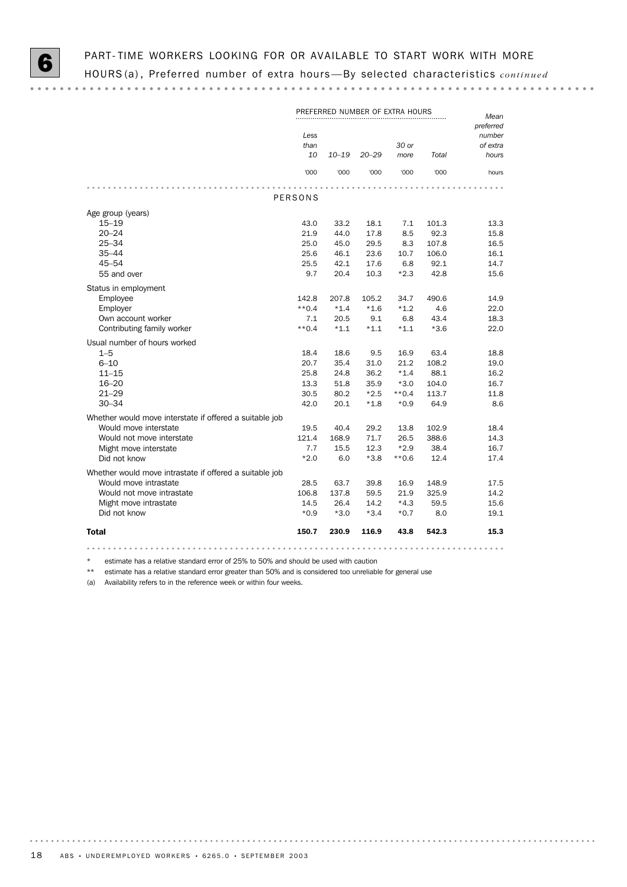|                                                                                                                                                        | Less<br>than<br>10                           | PREFERRED NUMBER OF EXTRA HOURS<br>$10 - 19$ | $20 - 29$                                       | 30 or<br>more                                         | Total                                           | Mean<br>preferred<br>number<br>of extra<br>hours |
|--------------------------------------------------------------------------------------------------------------------------------------------------------|----------------------------------------------|----------------------------------------------|-------------------------------------------------|-------------------------------------------------------|-------------------------------------------------|--------------------------------------------------|
|                                                                                                                                                        | '000                                         | '000                                         | '000                                            | '000                                                  | '000                                            | hours                                            |
|                                                                                                                                                        |                                              |                                              |                                                 |                                                       |                                                 |                                                  |
|                                                                                                                                                        | <b>PERSONS</b>                               |                                              |                                                 |                                                       |                                                 |                                                  |
| Age group (years)<br>$15 - 19$<br>$20 - 24$<br>$25 - 34$<br>$35 - 44$                                                                                  | 43.0<br>21.9<br>25.0<br>25.6                 | 33.2<br>44.0<br>45.0<br>46.1                 | 18.1<br>17.8<br>29.5<br>23.6                    | 7.1<br>8.5<br>8.3<br>10.7                             | 101.3<br>92.3<br>107.8<br>106.0                 | 13.3<br>15.8<br>16.5<br>16.1                     |
| $45 - 54$                                                                                                                                              | 25.5                                         | 42.1                                         | 17.6                                            | 6.8                                                   | 92.1                                            | 14.7                                             |
| 55 and over                                                                                                                                            | 9.7                                          | 20.4                                         | 10.3                                            | $*2.3$                                                | 42.8                                            | 15.6                                             |
| Status in employment<br>Employee<br>Employer<br>Own account worker<br>Contributing family worker                                                       | 142.8<br>$**0.4$<br>7.1<br>$**0.4$           | 207.8<br>$*1.4$<br>20.5<br>$*1.1$            | 105.2<br>$*1.6$<br>9.1<br>$*1.1$                | 34.7<br>$*1.2$<br>6.8<br>$*1.1$                       | 490.6<br>4.6<br>43.4<br>$*3.6$                  | 14.9<br>22.0<br>18.3<br>22.0                     |
| Usual number of hours worked                                                                                                                           |                                              |                                              |                                                 |                                                       |                                                 |                                                  |
| $1 - 5$<br>$6 - 10$<br>$11 - 15$<br>$16 - 20$<br>$21 - 29$<br>$30 - 34$                                                                                | 18.4<br>20.7<br>25.8<br>13.3<br>30.5<br>42.0 | 18.6<br>35.4<br>24.8<br>51.8<br>80.2<br>20.1 | 9.5<br>31.0<br>36.2<br>35.9<br>$*2.5$<br>$*1.8$ | 16.9<br>21.2<br>$*1.4$<br>$*3.0$<br>$**0.4$<br>$*0.9$ | 63.4<br>108.2<br>88.1<br>104.0<br>113.7<br>64.9 | 18.8<br>19.0<br>16.2<br>16.7<br>11.8<br>8.6      |
| Whether would move interstate if offered a suitable job                                                                                                |                                              |                                              |                                                 |                                                       |                                                 |                                                  |
| Would move interstate<br>Would not move interstate<br>Might move interstate<br>Did not know                                                            | 19.5<br>121.4<br>7.7<br>$*2.0$               | 40.4<br>168.9<br>15.5<br>6.0                 | 29.2<br>71.7<br>12.3<br>$*3.8$                  | 13.8<br>26.5<br>$*2.9$<br>$**0.6$                     | 102.9<br>388.6<br>38.4<br>12.4                  | 18.4<br>14.3<br>16.7<br>17.4                     |
| Whether would move intrastate if offered a suitable job<br>Would move intrastate<br>Would not move intrastate<br>Might move intrastate<br>Did not know | 28.5<br>106.8<br>14.5<br>$*0.9$              | 63.7<br>137.8<br>26.4<br>$*3.0$              | 39.8<br>59.5<br>14.2<br>$*3.4$                  | 16.9<br>21.9<br>$*4.3$<br>$*0.7$                      | 148.9<br>325.9<br>59.5<br>8.0                   | 17.5<br>14.2<br>15.6<br>19.1                     |
| <b>Total</b>                                                                                                                                           | 150.7                                        | 230.9                                        | 116.9                                           | 43.8                                                  | 542.3                                           | 15.3                                             |
|                                                                                                                                                        |                                              |                                              |                                                 |                                                       |                                                 |                                                  |

\* estimate has a relative standard error of 25% to 50% and should be used with caution

\*\* estimate has a relative standard error greater than 50% and is considered too unreliable for general use

(a) Availability refers to in the reference week or within four weeks.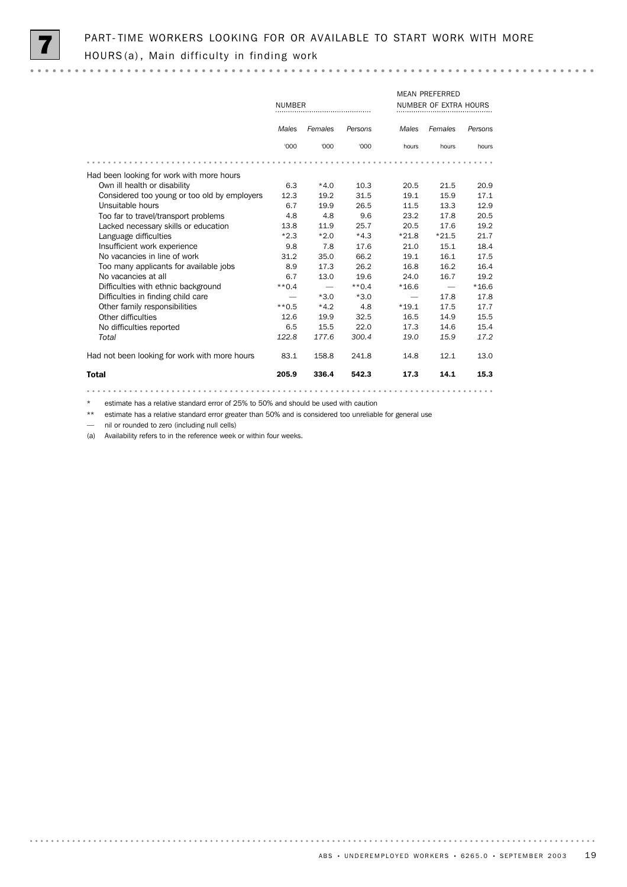

# PART-TIME WORKERS LOOKING FOR OR AVAILABLE TO START WORK WITH MORE HOURS (a), Main difficulty in finding work

|                                               |               |                               | <b>MEAN PREFERRED</b> |                          |                       |         |  |  |
|-----------------------------------------------|---------------|-------------------------------|-----------------------|--------------------------|-----------------------|---------|--|--|
|                                               | <b>NUMBER</b> |                               |                       |                          | NUMBER OF EXTRA HOURS |         |  |  |
|                                               |               |                               |                       |                          |                       |         |  |  |
|                                               | Males         | Females                       | Persons               | Males                    | Females               | Persons |  |  |
|                                               | '000          | '000                          | '000                  | hours                    | hours                 | hours   |  |  |
|                                               |               |                               |                       |                          |                       |         |  |  |
| Had been looking for work with more hours     |               |                               |                       |                          |                       |         |  |  |
| Own ill health or disability                  | 6.3           | $*4.0$                        | 10.3                  | 20.5                     | 21.5                  | 20.9    |  |  |
| Considered too young or too old by employers  | 12.3          | 19.2                          | 31.5                  | 19.1                     | 15.9                  | 17.1    |  |  |
| Unsuitable hours                              | 6.7           | 19.9                          | 26.5                  | 11.5                     | 13.3                  | 12.9    |  |  |
| Too far to travel/transport problems          | 4.8           | 4.8                           | 9.6                   | 23.2                     | 17.8                  | 20.5    |  |  |
| Lacked necessary skills or education          | 13.8          | 11.9                          | 25.7                  | 20.5                     | 17.6                  | 19.2    |  |  |
| Language difficulties                         | $*2.3$        | $*2.0$                        | $*4.3$                | $*21.8$                  | $*21.5$               | 21.7    |  |  |
| Insufficient work experience                  | 9.8           | 7.8                           | 17.6                  | 21.0                     | 15.1                  | 18.4    |  |  |
| No vacancies in line of work                  | 31.2          | 35.0                          | 66.2                  | 19.1                     | 16.1                  | 17.5    |  |  |
| Too many applicants for available jobs        | 8.9           | 17.3                          | 26.2                  | 16.8                     | 16.2                  | 16.4    |  |  |
| No vacancies at all                           | 6.7           | 13.0                          | 19.6                  | 24.0                     | 16.7                  | 19.2    |  |  |
| Difficulties with ethnic background           | $**0.4$       | $\overbrace{\phantom{12333}}$ | $**0.4$               | $*16.6$                  |                       | $*16.6$ |  |  |
| Difficulties in finding child care            |               | $*3.0$                        | $*3.0$                | $\overline{\phantom{0}}$ | 17.8                  | 17.8    |  |  |
| Other family responsibilities                 | $**0.5$       | $*4.2$                        | 4.8                   | $*19.1$                  | 17.5                  | 17.7    |  |  |
| Other difficulties                            | 12.6          | 19.9                          | 32.5                  | 16.5                     | 14.9                  | 15.5    |  |  |
| No difficulties reported                      | 6.5           | 15.5                          | 22.0                  | 17.3                     | 14.6                  | 15.4    |  |  |
| Total                                         | 122.8         | 177.6                         | 300.4                 | 19.0                     | 15.9                  | 17.2    |  |  |
| Had not been looking for work with more hours | 83.1          | 158.8                         | 241.8                 | 14.8                     | 12.1                  | 13.0    |  |  |
| <b>Total</b>                                  | 205.9         | 336.4                         | 542.3                 | 17.3                     | 14.1                  | 15.3    |  |  |

estimate has a relative standard error of 25% to 50% and should be used with caution

\*\* estimate has a relative standard error greater than 50% and is considered too unreliable for general use

— nil or rounded to zero (including null cells)

(a) Availability refers to in the reference week or within four weeks.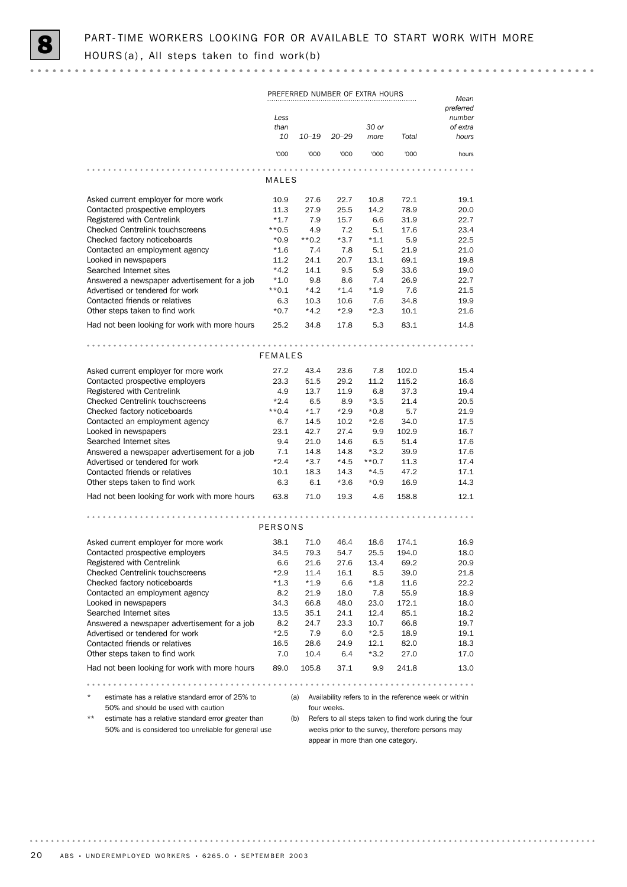$-0.00000$ 

|                                                                                                    | PREFERRED NUMBER OF EXTRA HOURS |                |               |                 |                                                  | Mean                                                   |
|----------------------------------------------------------------------------------------------------|---------------------------------|----------------|---------------|-----------------|--------------------------------------------------|--------------------------------------------------------|
|                                                                                                    | Less                            |                |               |                 |                                                  | preferred<br>number                                    |
|                                                                                                    | than                            |                |               | 30 or           |                                                  | of extra                                               |
|                                                                                                    | 10                              | $10 - 19$      | $20 - 29$     | more            | Total                                            | hours                                                  |
|                                                                                                    | '000                            | '000           | '000          | '000            | '000                                             | hours                                                  |
|                                                                                                    |                                 |                |               |                 |                                                  |                                                        |
|                                                                                                    | MALES                           |                |               |                 |                                                  |                                                        |
| Asked current employer for more work                                                               | 10.9                            | 27.6           | 22.7          | 10.8            | 72.1                                             | 19.1                                                   |
| Contacted prospective employers                                                                    | 11.3                            | 27.9           | 25.5          | 14.2            | 78.9                                             | 20.0                                                   |
| Registered with Centrelink                                                                         | $*1.7$<br>$**0.5$               | 7.9            | 15.7          | 6.6             | 31.9                                             | 22.7                                                   |
| <b>Checked Centrelink touchscreens</b>                                                             | $*0.9$                          | 4.9<br>$**0.2$ | 7.2<br>$*3.7$ | 5.1<br>$*1.1$   | 17.6<br>5.9                                      | 23.4<br>22.5                                           |
| Checked factory noticeboards                                                                       | $*1.6$                          | 7.4            | 7.8           | 5.1             | 21.9                                             | 21.0                                                   |
| Contacted an employment agency<br>Looked in newspapers                                             | 11.2                            | 24.1           | 20.7          | 13.1            | 69.1                                             | 19.8                                                   |
|                                                                                                    | $*4.2$                          | 14.1           | 9.5           | 5.9             | 33.6                                             | 19.0                                                   |
| Searched Internet sites<br>Answered a newspaper advertisement for a job                            | $*1.0$                          | 9.8            | 8.6           | 7.4             | 26.9                                             | 22.7                                                   |
| Advertised or tendered for work                                                                    | $**0.1$                         | $*4.2$         | $*1.4$        | $*1.9$          | 7.6                                              | 21.5                                                   |
| Contacted friends or relatives                                                                     | 6.3                             | 10.3           | 10.6          | 7.6             | 34.8                                             | 19.9                                                   |
| Other steps taken to find work                                                                     | $*0.7$                          | $*4.2$         | $*2.9$        | $*2.3$          | 10.1                                             | 21.6                                                   |
| Had not been looking for work with more hours                                                      | 25.2                            | 34.8           | 17.8          | 5.3             | 83.1                                             | 14.8                                                   |
|                                                                                                    |                                 |                |               |                 |                                                  |                                                        |
|                                                                                                    | <b>FEMALES</b>                  |                |               |                 |                                                  |                                                        |
| Asked current employer for more work                                                               | 27.2                            | 43.4           | 23.6          | 7.8             | 102.0                                            | 15.4                                                   |
| Contacted prospective employers                                                                    | 23.3                            | 51.5           | 29.2          | 11.2            | 115.2                                            | 16.6                                                   |
| Registered with Centrelink                                                                         | 4.9                             | 13.7           | 11.9          | 6.8             | 37.3                                             | 19.4                                                   |
| <b>Checked Centrelink touchscreens</b>                                                             | $*2.4$                          | 6.5            | 8.9           | $*3.5$          | 21.4                                             | 20.5                                                   |
| Checked factory noticeboards                                                                       | $**0.4$                         | $*1.7$         | $*2.9$        | $*0.8$          | 5.7                                              | 21.9                                                   |
| Contacted an employment agency                                                                     | 6.7                             | 14.5           | 10.2          | $*2.6$          | 34.0                                             | 17.5                                                   |
| Looked in newspapers                                                                               | 23.1                            | 42.7           | 27.4          | 9.9             | 102.9                                            | 16.7                                                   |
| Searched Internet sites                                                                            | 9.4                             | 21.0           | 14.6          | 6.5             | 51.4                                             | 17.6                                                   |
| Answered a newspaper advertisement for a job                                                       | 7.1                             | 14.8           | 14.8          | $*3.2$          | 39.9                                             | 17.6                                                   |
| Advertised or tendered for work                                                                    | $*2.4$                          | $*3.7$         | $*4.5$        | $**0.7$         | 11.3                                             | 17.4                                                   |
| Contacted friends or relatives                                                                     | 10.1                            | 18.3           | 14.3          | $*4.5$          | 47.2                                             | 17.1                                                   |
| Other steps taken to find work                                                                     | 6.3                             | 6.1            | $*3.6$        | $*0.9$          | 16.9                                             | 14.3                                                   |
| Had not been looking for work with more hours                                                      | 63.8                            | 71.0           | 19.3          | 4.6             | 158.8                                            | 12.1                                                   |
|                                                                                                    |                                 |                |               |                 |                                                  |                                                        |
|                                                                                                    | <b>PERSONS</b>                  |                |               |                 |                                                  |                                                        |
| Asked current employer for more work                                                               | 38.1                            | 71.0           | 46.4          | 18.6            | 174.1                                            | 16.9                                                   |
| Contacted prospective employers                                                                    | 34.5                            | 79.3           | 54.7          | 25.5            | 194.0                                            | 18.0                                                   |
| Registered with Centrelink                                                                         | 6.6                             | 21.6           | 27.6          | 13.4            | 69.2                                             | 20.9                                                   |
| <b>Checked Centrelink touchscreens</b>                                                             | *2.9                            | 11.4           | 16.1          | 8.5             | 39.0                                             | 21.8                                                   |
| Checked factory noticeboards                                                                       | *1.3                            | $*1.9$         | 6.6           | $*1.8$          | 11.6                                             | 22.2                                                   |
| Contacted an employment agency                                                                     | 8.2                             | 21.9           | 18.0          | 7.8             | 55.9                                             | 18.9                                                   |
| Looked in newspapers                                                                               | 34.3                            | 66.8           | 48.0          | 23.0            | 172.1                                            | 18.0                                                   |
| Searched Internet sites                                                                            | 13.5                            | 35.1           | 24.1          | 12.4            | 85.1                                             | 18.2                                                   |
| Answered a newspaper advertisement for a job                                                       | 8.2                             | 24.7           | 23.3          | 10.7            | 66.8                                             | 19.7                                                   |
| Advertised or tendered for work                                                                    | $*2.5$                          | 7.9            | 6.0           | $*2.5$          | 18.9                                             | 19.1                                                   |
| Contacted friends or relatives                                                                     | 16.5                            | 28.6           | 24.9          | 12.1            | 82.0                                             | 18.3                                                   |
| Other steps taken to find work                                                                     | 7.0                             | 10.4           | 6.4           | $*3.2$          | 27.0                                             | 17.0                                                   |
| Had not been looking for work with more hours                                                      | 89.0                            | 105.8          | 37.1          | 9.9             | 241.8                                            | 13.0                                                   |
|                                                                                                    |                                 |                |               | $\sim$ $\alpha$ | $-0.000$                                         |                                                        |
| $\star$<br>estimate has a relative standard error of 25% to<br>50% and should be used with caution |                                 | (a)            | four weeks.   |                 |                                                  | Availability refers to in the reference week or within |
| $***$<br>estimate has a relative standard error greater than                                       |                                 | (b)            |               |                 |                                                  | Refers to all steps taken to find work during the four |
| 50% and is considered too unreliable for general use                                               |                                 |                |               |                 | weeks prior to the survey, therefore persons may |                                                        |

weeks prior to the survey, therefore persons may appear in more than one category.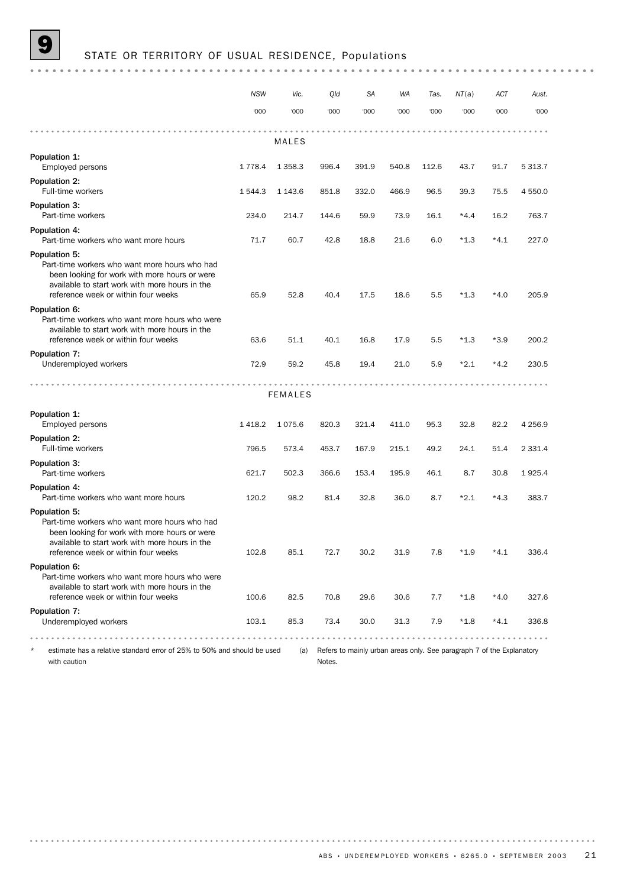|                                                                                                                                                                                                          | <b>NSW</b> | Vic.           | Qld   | <b>SA</b> | <b>WA</b> | Tas.    | NT(a)  | ACT    | Aust.       |
|----------------------------------------------------------------------------------------------------------------------------------------------------------------------------------------------------------|------------|----------------|-------|-----------|-----------|---------|--------|--------|-------------|
|                                                                                                                                                                                                          | '000       | '000           | '000  | '000      | '000      | '000    | '000   | '000   | '000        |
|                                                                                                                                                                                                          |            |                |       |           |           |         |        |        |             |
|                                                                                                                                                                                                          |            | MALES          |       |           |           |         |        |        |             |
| Population 1:<br>Employed persons                                                                                                                                                                        | 1 7 7 8.4  | 1 3 5 8.3      | 996.4 | 391.9     | 540.8     | 112.6   | 43.7   | 91.7   | 5 3 1 3 . 7 |
| Population 2:<br>Full-time workers                                                                                                                                                                       | 1 544.3    | 1 1 4 3 . 6    | 851.8 | 332.0     | 466.9     | 96.5    | 39.3   | 75.5   | 4 550.0     |
| Population 3:<br>Part-time workers                                                                                                                                                                       | 234.0      | 214.7          | 144.6 | 59.9      | 73.9      | 16.1    | $*4.4$ | 16.2   | 763.7       |
| Population 4:<br>Part-time workers who want more hours                                                                                                                                                   | 71.7       | 60.7           | 42.8  | 18.8      | 21.6      | 6.0     | $*1.3$ | $*4.1$ | 227.0       |
| Population 5:<br>Part-time workers who want more hours who had<br>been looking for work with more hours or were<br>available to start work with more hours in the<br>reference week or within four weeks | 65.9       | 52.8           | 40.4  | 17.5      | 18.6      | 5.5     | $*1.3$ | $*4.0$ | 205.9       |
| Population 6:<br>Part-time workers who want more hours who were<br>available to start work with more hours in the<br>reference week or within four weeks                                                 | 63.6       | 51.1           | 40.1  | 16.8      | 17.9      | 5.5     | $*1.3$ | $*3.9$ | 200.2       |
| Population 7:<br>Underemployed workers                                                                                                                                                                   | 72.9       | 59.2           | 45.8  | 19.4      | 21.0      | 5.9     | $*2.1$ | $*4.2$ | 230.5       |
|                                                                                                                                                                                                          |            | <b>FEMALES</b> |       |           |           |         |        |        |             |
| Population 1:<br>Employed persons                                                                                                                                                                        | 1418.2     | 1075.6         | 820.3 | 321.4     | 411.0     | 95.3    | 32.8   | 82.2   | 4 2 5 6.9   |
| Population 2:<br>Full-time workers                                                                                                                                                                       | 796.5      | 573.4          | 453.7 | 167.9     | 215.1     | 49.2    | 24.1   | 51.4   | 2 3 3 1.4   |
| Population 3:<br>Part-time workers                                                                                                                                                                       | 621.7      | 502.3          | 366.6 | 153.4     | 195.9     | 46.1    | 8.7    | 30.8   | 1925.4      |
| Population 4:<br>Part-time workers who want more hours                                                                                                                                                   | 120.2      | 98.2           | 81.4  | 32.8      | 36.0      | 8.7     | $*2.1$ | $*4.3$ | 383.7       |
| Population 5:<br>Part-time workers who want more hours who had<br>been looking for work with more hours or were<br>available to start work with more hours in the<br>reference week or within four weeks | 102.8      | 85.1           | 72.7  | 30.2      | 31.9      | $7.8\,$ | $*1.9$ | $*4.1$ | 336.4       |
| Population 6:<br>Part-time workers who want more hours who were<br>available to start work with more hours in the<br>reference week or within four weeks                                                 | 100.6      | 82.5           | 70.8  | 29.6      | 30.6      | 7.7     | $*1.8$ | $*4.0$ | 327.6       |
| Population 7:<br>Underemployed workers                                                                                                                                                                   | 103.1      | 85.3           | 73.4  | 30.0      | 31.3      | 7.9     | $*1.8$ | $*4.1$ | 336.8       |

with caution

(a) Refers to mainly urban areas only. See paragraph 7 of the Explanatory Notes.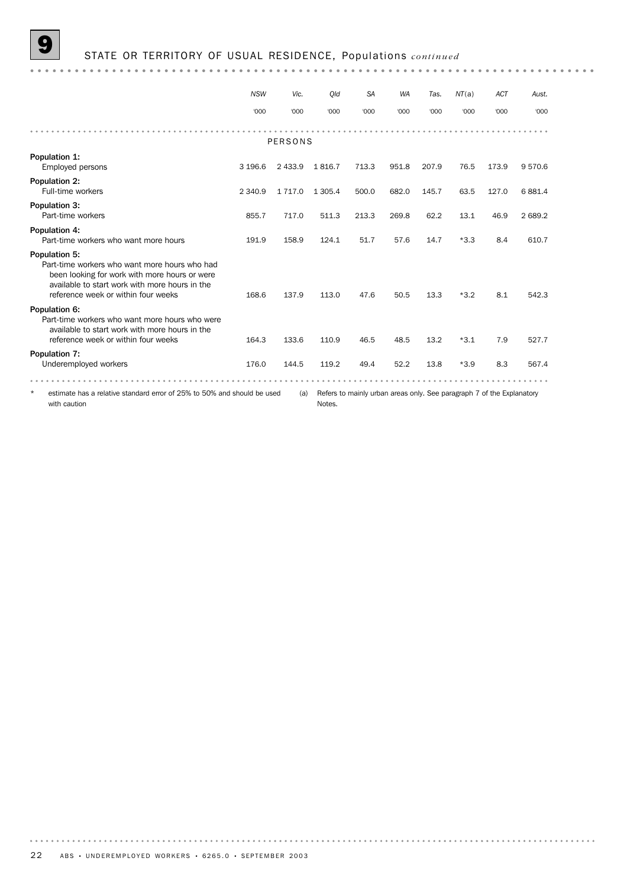9 STATE OR TERRITORY OF USUAL RESIDENCE, Populations *continued*

|                                                                                                                                                                                                          | <b>NSW</b> | Vic.       | Old       | <b>SA</b> | <b>WA</b> | Tas.  | NT(a)  | <b>ACT</b> | Aust.   |
|----------------------------------------------------------------------------------------------------------------------------------------------------------------------------------------------------------|------------|------------|-----------|-----------|-----------|-------|--------|------------|---------|
|                                                                                                                                                                                                          | '000       | '000       | '000      | '000      | '000      | '000  | '000   | '000       | '000    |
|                                                                                                                                                                                                          |            | PERSONS    |           |           |           |       |        |            |         |
| Population 1:<br>Employed persons                                                                                                                                                                        | 3 196.6    | 2 4 3 3.9  | 1816.7    | 713.3     | 951.8     | 207.9 | 76.5   | 173.9      | 9570.6  |
| <b>Population 2:</b><br>Full-time workers                                                                                                                                                                | 2 3 4 0.9  | 1 7 1 7 .0 | 1 3 0 5.4 | 500.0     | 682.0     | 145.7 | 63.5   | 127.0      | 6881.4  |
| Population 3:<br>Part-time workers                                                                                                                                                                       | 855.7      | 717.0      | 511.3     | 213.3     | 269.8     | 62.2  | 13.1   | 46.9       | 2 689.2 |
| Population 4:<br>Part-time workers who want more hours                                                                                                                                                   | 191.9      | 158.9      | 124.1     | 51.7      | 57.6      | 14.7  | $*3.3$ | 8.4        | 610.7   |
| Population 5:<br>Part-time workers who want more hours who had<br>been looking for work with more hours or were<br>available to start work with more hours in the<br>reference week or within four weeks | 168.6      | 137.9      | 113.0     | 47.6      | 50.5      | 13.3  | $*3.2$ | 8.1        | 542.3   |
| Population 6:<br>Part-time workers who want more hours who were<br>available to start work with more hours in the<br>reference week or within four weeks                                                 | 164.3      | 133.6      | 110.9     | 46.5      | 48.5      | 13.2  | $*3.1$ | 7.9        | 527.7   |
| Population 7:<br>Underemployed workers                                                                                                                                                                   | 176.0      | 144.5      | 119.2     | 49.4      | 52.2      | 13.8  | $*3.9$ | 8.3        | 567.4   |
| $\star$<br>estimate has a relative standard error of 25% to 50% and should be used<br>Refers to mainly urban areas only. See paragraph 7 of the Explanatory<br>(a)<br>with caution<br>Notes.             |            |            |           |           |           |       |        |            |         |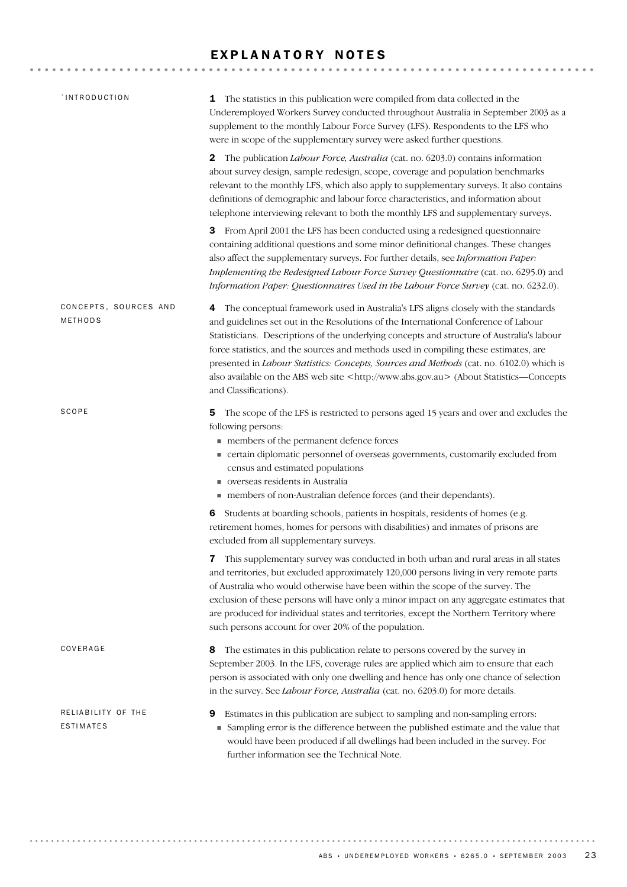### EXPLANATORY NOTES

| `INTRODUCTION                    | The statistics in this publication were compiled from data collected in the<br>1<br>Underemployed Workers Survey conducted throughout Australia in September 2003 as a<br>supplement to the monthly Labour Force Survey (LFS). Respondents to the LFS who<br>were in scope of the supplementary survey were asked further questions.                                                                                                                                                                                                                                                                 |
|----------------------------------|------------------------------------------------------------------------------------------------------------------------------------------------------------------------------------------------------------------------------------------------------------------------------------------------------------------------------------------------------------------------------------------------------------------------------------------------------------------------------------------------------------------------------------------------------------------------------------------------------|
|                                  | <b>2</b> The publication <i>Labour Force, Australia</i> (cat. no. 6203.0) contains information<br>about survey design, sample redesign, scope, coverage and population benchmarks<br>relevant to the monthly LFS, which also apply to supplementary surveys. It also contains<br>definitions of demographic and labour force characteristics, and information about<br>telephone interviewing relevant to both the monthly LFS and supplementary surveys.                                                                                                                                            |
|                                  | From April 2001 the LFS has been conducted using a redesigned questionnaire<br>З<br>containing additional questions and some minor definitional changes. These changes<br>also affect the supplementary surveys. For further details, see Information Paper:<br>Implementing the Redesigned Labour Force Survey Questionnaire (cat. no. 6295.0) and<br>Information Paper: Questionnaires Used in the Labour Force Survey (cat. no. 6232.0).                                                                                                                                                          |
| CONCEPTS, SOURCES AND<br>METHODS | The conceptual framework used in Australia's LFS aligns closely with the standards<br>4<br>and guidelines set out in the Resolutions of the International Conference of Labour<br>Statisticians. Descriptions of the underlying concepts and structure of Australia's labour<br>force statistics, and the sources and methods used in compiling these estimates, are<br>presented in <i>Labour Statistics: Concepts, Sources and Methods</i> (cat. no. 6102.0) which is<br>also available on the ABS web site <http: www.abs.gov.au=""> (About Statistics—Concepts<br/>and Classifications).</http:> |
| SCOPE                            | The scope of the LFS is restricted to persons aged 15 years and over and excludes the<br>5<br>following persons:<br>members of the permanent defence forces<br>• certain diplomatic personnel of overseas governments, customarily excluded from<br>census and estimated populations<br>verseas residents in Australia<br>members of non-Australian defence forces (and their dependants).                                                                                                                                                                                                           |
|                                  | Students at boarding schools, patients in hospitals, residents of homes (e.g.<br>6<br>retirement homes, homes for persons with disabilities) and inmates of prisons are<br>excluded from all supplementary surveys.                                                                                                                                                                                                                                                                                                                                                                                  |
|                                  | 7 This supplementary survey was conducted in both urban and rural areas in all states<br>and territories, but excluded approximately 120,000 persons living in very remote parts<br>of Australia who would otherwise have been within the scope of the survey. The<br>exclusion of these persons will have only a minor impact on any aggregate estimates that<br>are produced for individual states and territories, except the Northern Territory where<br>such persons account for over 20% of the population.                                                                                    |
| COVERAGE                         | The estimates in this publication relate to persons covered by the survey in<br>8<br>September 2003. In the LFS, coverage rules are applied which aim to ensure that each<br>person is associated with only one dwelling and hence has only one chance of selection<br>in the survey. See Labour Force, Australia (cat. no. 6203.0) for more details.                                                                                                                                                                                                                                                |
| RELIABILITY OF THE<br>ESTIMATES  | Estimates in this publication are subject to sampling and non-sampling errors:<br>9<br>• Sampling error is the difference between the published estimate and the value that<br>would have been produced if all dwellings had been included in the survey. For<br>further information see the Technical Note.                                                                                                                                                                                                                                                                                         |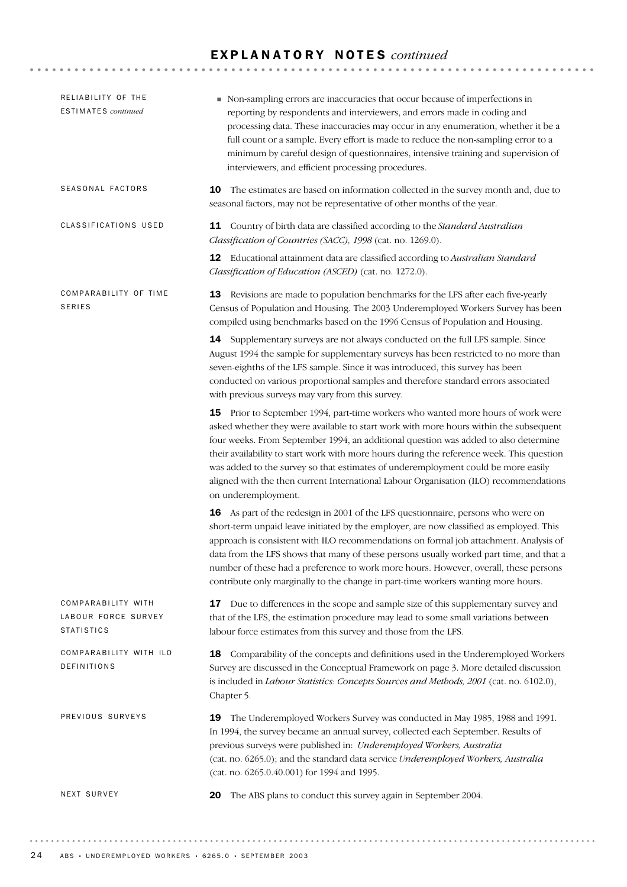### E X P L A N A T O R Y N O T E S *continued*

| RELIABILITY OF THE<br><b>ESTIMATES</b> continued               | Non-sampling errors are inaccuracies that occur because of imperfections in<br>reporting by respondents and interviewers, and errors made in coding and<br>processing data. These inaccuracies may occur in any enumeration, whether it be a<br>full count or a sample. Every effort is made to reduce the non-sampling error to a<br>minimum by careful design of questionnaires, intensive training and supervision of<br>interviewers, and efficient processing procedures.                                                                                     |
|----------------------------------------------------------------|--------------------------------------------------------------------------------------------------------------------------------------------------------------------------------------------------------------------------------------------------------------------------------------------------------------------------------------------------------------------------------------------------------------------------------------------------------------------------------------------------------------------------------------------------------------------|
| SEASONAL FACTORS                                               | The estimates are based on information collected in the survey month and, due to<br>10<br>seasonal factors, may not be representative of other months of the year.                                                                                                                                                                                                                                                                                                                                                                                                 |
| CLASSIFICATIONS USED                                           | 11 Country of birth data are classified according to the Standard Australian<br>Classification of Countries (SACC), 1998 (cat. no. 1269.0).                                                                                                                                                                                                                                                                                                                                                                                                                        |
|                                                                | 12 Educational attainment data are classified according to Australian Standard<br>Classification of Education (ASCED) (cat. no. 1272.0).                                                                                                                                                                                                                                                                                                                                                                                                                           |
| COMPARABILITY OF TIME<br><b>SERIES</b>                         | 13<br>Revisions are made to population benchmarks for the LFS after each five-yearly<br>Census of Population and Housing. The 2003 Underemployed Workers Survey has been<br>compiled using benchmarks based on the 1996 Census of Population and Housing.                                                                                                                                                                                                                                                                                                          |
|                                                                | 14 Supplementary surveys are not always conducted on the full LFS sample. Since<br>August 1994 the sample for supplementary surveys has been restricted to no more than<br>seven-eighths of the LFS sample. Since it was introduced, this survey has been<br>conducted on various proportional samples and therefore standard errors associated<br>with previous surveys may vary from this survey.                                                                                                                                                                |
|                                                                | 15 Prior to September 1994, part-time workers who wanted more hours of work were<br>asked whether they were available to start work with more hours within the subsequent<br>four weeks. From September 1994, an additional question was added to also determine<br>their availability to start work with more hours during the reference week. This question<br>was added to the survey so that estimates of underemployment could be more easily<br>aligned with the then current International Labour Organisation (ILO) recommendations<br>on underemployment. |
|                                                                | 16 As part of the redesign in 2001 of the LFS questionnaire, persons who were on<br>short-term unpaid leave initiated by the employer, are now classified as employed. This<br>approach is consistent with ILO recommendations on formal job attachment. Analysis of<br>data from the LFS shows that many of these persons usually worked part time, and that a<br>number of these had a preference to work more hours. However, overall, these persons<br>contribute only marginally to the change in part-time workers wanting more hours.                       |
| COMPARABILITY WITH<br>LABOUR FORCE SURVEY<br><b>STATISTICS</b> | 17 Due to differences in the scope and sample size of this supplementary survey and<br>that of the LFS, the estimation procedure may lead to some small variations between<br>labour force estimates from this survey and those from the LFS.                                                                                                                                                                                                                                                                                                                      |
| COMPARABILITY WITH ILO<br>DEFINITIONS                          | 18 Comparability of the concepts and definitions used in the Underemployed Workers<br>Survey are discussed in the Conceptual Framework on page 3. More detailed discussion<br>is included in <i>Labour Statistics: Concepts Sources and Methods</i> , 2001 (cat. no. 6102.0),<br>Chapter 5.                                                                                                                                                                                                                                                                        |
| PREVIOUS SURVEYS                                               | The Underemployed Workers Survey was conducted in May 1985, 1988 and 1991.<br>19<br>In 1994, the survey became an annual survey, collected each September. Results of<br>previous surveys were published in: Underemployed Workers, Australia<br>(cat. no. 6265.0); and the standard data service Underemployed Workers, Australia<br>(cat. no. 6265.0.40.001) for 1994 and 1995.                                                                                                                                                                                  |
| NEXT SURVEY                                                    | The ABS plans to conduct this survey again in September 2004.<br>20                                                                                                                                                                                                                                                                                                                                                                                                                                                                                                |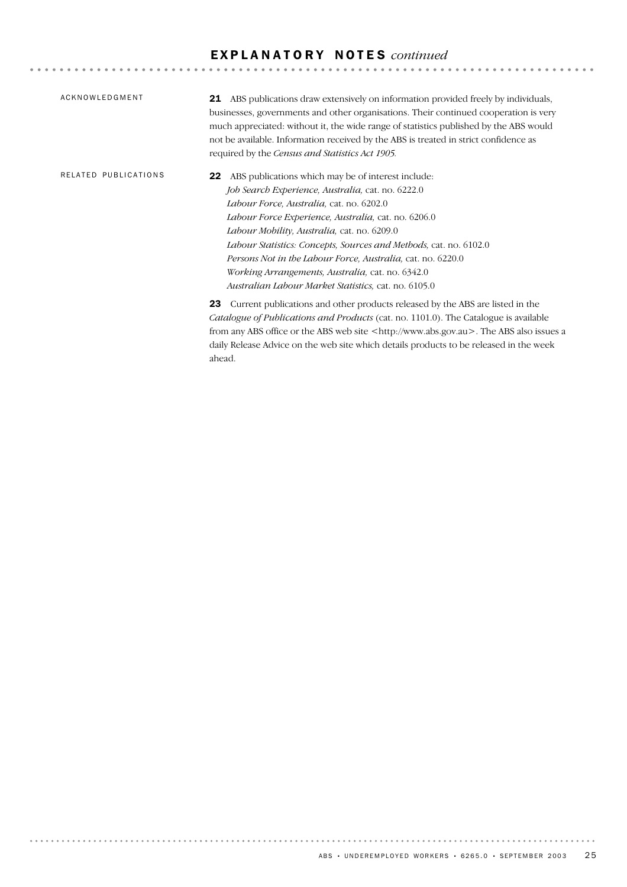## E X P L A N A T O R Y N O T E S *continued*

| ACKNOWLEDGMENT       | 21 ABS publications draw extensively on information provided freely by individuals,<br>businesses, governments and other organisations. Their continued cooperation is very<br>much appreciated: without it, the wide range of statistics published by the ABS would<br>not be available. Information received by the ABS is treated in strict confidence as<br>required by the Census and Statistics Act 1905.                                                                                                 |
|----------------------|-----------------------------------------------------------------------------------------------------------------------------------------------------------------------------------------------------------------------------------------------------------------------------------------------------------------------------------------------------------------------------------------------------------------------------------------------------------------------------------------------------------------|
| RELATED PUBLICATIONS | ABS publications which may be of interest include:<br>22<br>Job Search Experience, Australia, cat. no. 6222.0<br>Labour Force, Australia, cat. no. 6202.0<br>Labour Force Experience, Australia, cat. no. 6206.0<br>Labour Mobility, Australia, cat. no. 6209.0<br>Labour Statistics: Concepts, Sources and Methods, cat. no. 6102.0<br>Persons Not in the Labour Force, Australia, cat. no. 6220.0<br>Working Arrangements, Australia, cat. no. 6342.0<br>Australian Labour Market Statistics, cat. no. 6105.0 |
|                      | Current publications and other products released by the ABS are listed in the<br>23<br><i>Catalogue of Publications and Products</i> (cat. no. 1101.0). The Catalogue is available<br>from any ABS office or the ABS web site <http: www.abs.gov.au="">. The ABS also issues a<br/>daily Release Advice on the web site which details products to be released in the week<br/>ahead.</http:>                                                                                                                    |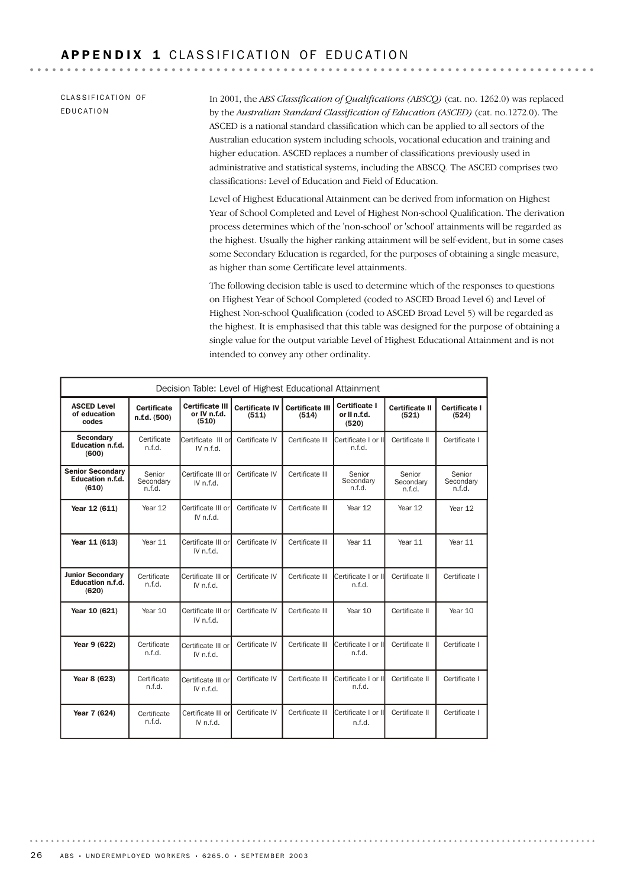CLASSIFICATION OF EDUCATION

In 2001, the *ABS Classification of Qualifications (ABSCQ)* (cat. no. 1262.0) was replaced by the *Australian Standard Classification of Education (ASCED)* (cat. no.1272.0). The ASCED is a national standard classification which can be applied to all sectors of the Australian education system including schools, vocational education and training and higher education. ASCED replaces a number of classifications previously used in administrative and statistical systems, including the ABSCQ. The ASCED comprises two classifications: Level of Education and Field of Education.

Level of Highest Educational Attainment can be derived from information on Highest Year of School Completed and Level of Highest Non-school Qualification. The derivation process determines which of the 'non-school' or 'school' attainments will be regarded as the highest. Usually the higher ranking attainment will be self-evident, but in some cases some Secondary Education is regarded, for the purposes of obtaining a single measure, as higher than some Certificate level attainments.

The following decision table is used to determine which of the responses to questions on Highest Year of School Completed (coded to ASCED Broad Level 6) and Level of Highest Non-school Qualification (coded to ASCED Broad Level 5) will be regarded as the highest. It is emphasised that this table was designed for the purpose of obtaining a single value for the output variable Level of Highest Educational Attainment and is not intended to convey any other ordinality.

| Decision Table: Level of Highest Educational Attainment     |                                                                                                                         |                                 |                                   |                                        |                                |                               |               |
|-------------------------------------------------------------|-------------------------------------------------------------------------------------------------------------------------|---------------------------------|-----------------------------------|----------------------------------------|--------------------------------|-------------------------------|---------------|
| <b>ASCED Level</b><br>of education<br>codes                 | <b>Certificate III</b><br><b>Certificate</b><br><b>Certificate IV</b><br>or IV n.f.d.<br>(511)<br>n.f.d. (500)<br>(510) |                                 | <b>Certificate III</b><br>(514)   | Certificate I<br>or II n.f.d.<br>(520) | <b>Certificate II</b><br>(521) | Certificate I<br>(524)        |               |
| Secondary<br>Education n.f.d.<br>(600)                      | Certificate<br>n.f.d.                                                                                                   | Certificate III or<br>IV n f d  | Certificate IV                    | Certificate III                        | Certificate I or II<br>n.f.d.  | Certificate II                | Certificate I |
| <b>Senior Secondary</b><br><b>Education n.f.d.</b><br>(610) | Certificate IV<br>Senior<br>Certificate III or<br>Secondary<br>IV n.f.d.<br>n.f.d.                                      |                                 | Certificate III                   | Senior<br>Secondary<br>n.f.d.          | Senior<br>Secondary<br>n.f.d.  | Senior<br>Secondary<br>n.f.d. |               |
| Year 12 (611)                                               | Year 12                                                                                                                 | Certificate III or<br>IV n.f.d. | Certificate IV<br>Certificate III |                                        | Year 12                        | Year 12                       | Year 12       |
| Year 11 (613)                                               | Year 11                                                                                                                 | Certificate III or<br>IV n.f.d. | Certificate IV                    | Certificate III                        | Year 11                        | Year 11                       | Year 11       |
| <b>Junior Secondary</b><br>Education n.f.d.<br>(620)        | Certificate<br>n.f.d.                                                                                                   | Certificate III or<br>IV n.f.d. | Certificate IV<br>Certificate III |                                        | Certificate I or II<br>n.f.d.  | Certificate II                | Certificate I |
| Year 10 (621)                                               | Year 10                                                                                                                 | Certificate III or<br>IV n.f.d. | Certificate IV                    | Certificate III                        | Year 10                        | Certificate II                | Year 10       |
| Year 9 (622)                                                | Certificate<br>n.f.d.                                                                                                   | Certificate III or<br>IV n.f.d. | Certificate IV<br>Certificate III |                                        | Certificate I or II<br>n.f.d.  | Certificate II                | Certificate I |
| Year 8 (623)                                                | Certificate<br>n.f.d.                                                                                                   | Certificate III or<br>IV n.f.d. | Certificate IV<br>Certificate III |                                        | Certificate I or II<br>n.f.d.  | Certificate II                | Certificate I |
| Year 7 (624)                                                | Certificate<br>n.f.d.                                                                                                   | Certificate III or<br>IV n.f.d. | Certificate IV                    | Certificate III                        | Certificate I or II<br>n.f.d.  | Certificate II                | Certificate I |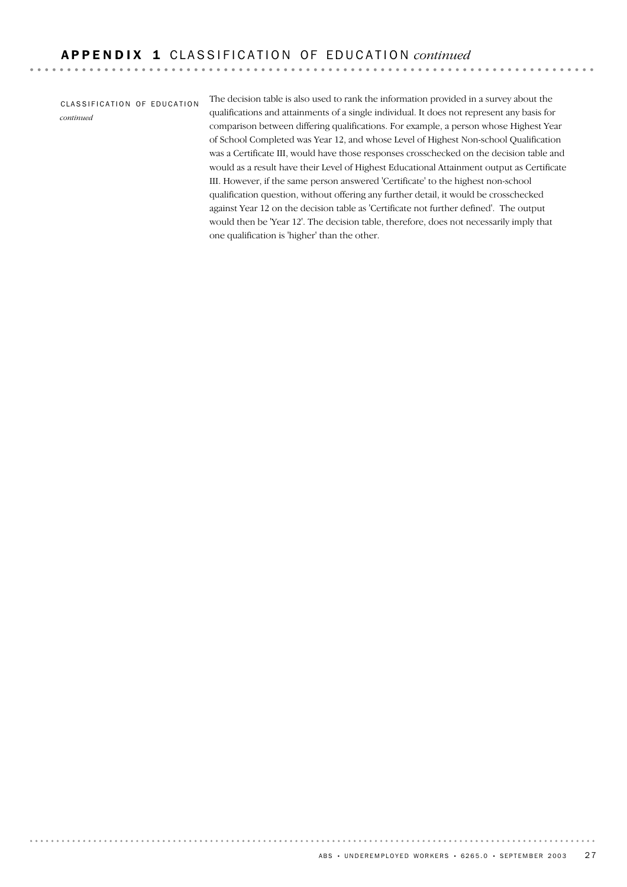CLASSIFICATION OF EDUCATION *continued*

. . . . . . .

The decision table is also used to rank the information provided in a survey about the qualifications and attainments of a single individual. It does not represent any basis for comparison between differing qualifications. For example, a person whose Highest Year of School Completed was Year 12, and whose Level of Highest Non-school Qualification was a Certificate III, would have those responses crosschecked on the decision table and would as a result have their Level of Highest Educational Attainment output as Certificate III. However, if the same person answered 'Certificate' to the highest non-school qualification question, without offering any further detail, it would be crosschecked against Year 12 on the decision table as 'Certificate not further defined'. The output would then be 'Year 12'. The decision table, therefore, does not necessarily imply that one qualification is 'higher' than the other.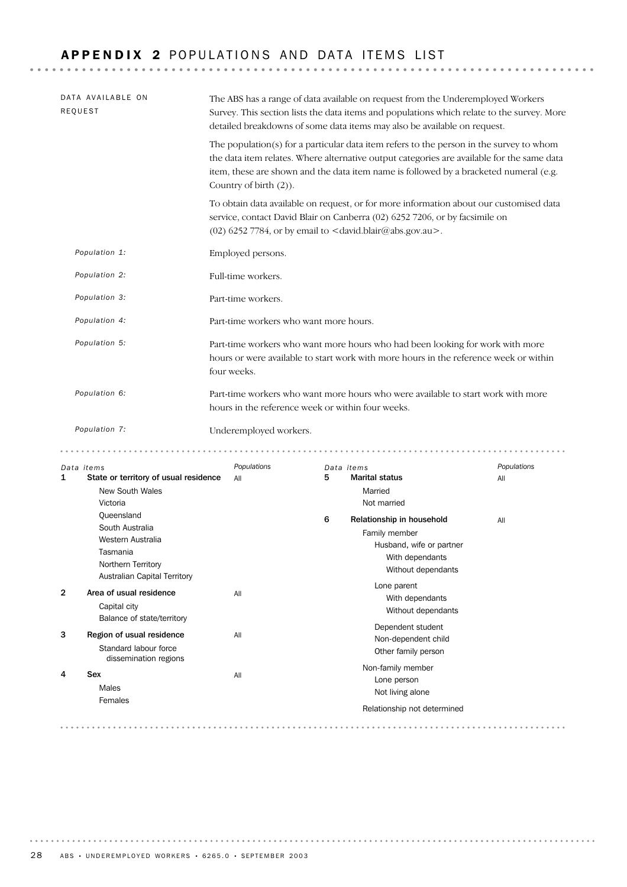# APPENDIX 2 POPULATIONS AND DATA ITEMS LIST

| DATA AVAILABLE ON<br>REQUEST                             | The ABS has a range of data available on request from the Underemployed Workers<br>Survey. This section lists the data items and populations which relate to the survey. More<br>detailed breakdowns of some data items may also be available on request. |                                                                                                                                                                                                                                                                                |                    |  |  |  |  |
|----------------------------------------------------------|-----------------------------------------------------------------------------------------------------------------------------------------------------------------------------------------------------------------------------------------------------------|--------------------------------------------------------------------------------------------------------------------------------------------------------------------------------------------------------------------------------------------------------------------------------|--------------------|--|--|--|--|
|                                                          | Country of birth (2)).                                                                                                                                                                                                                                    | The population(s) for a particular data item refers to the person in the survey to whom<br>the data item relates. Where alternative output categories are available for the same data<br>item, these are shown and the data item name is followed by a bracketed numeral (e.g. |                    |  |  |  |  |
|                                                          |                                                                                                                                                                                                                                                           | To obtain data available on request, or for more information about our customised data<br>service, contact David Blair on Canberra (02) 6252 7206, or by facsimile on<br>(02) 6252 7784, or by email to $<$ david.blair@abs.gov.au>.                                           |                    |  |  |  |  |
| Population 1:                                            | Employed persons.                                                                                                                                                                                                                                         |                                                                                                                                                                                                                                                                                |                    |  |  |  |  |
| Population 2:                                            | Full-time workers.                                                                                                                                                                                                                                        |                                                                                                                                                                                                                                                                                |                    |  |  |  |  |
| Population 3:                                            | Part-time workers.                                                                                                                                                                                                                                        |                                                                                                                                                                                                                                                                                |                    |  |  |  |  |
| Population 4:                                            | Part-time workers who want more hours.                                                                                                                                                                                                                    |                                                                                                                                                                                                                                                                                |                    |  |  |  |  |
| Population 5:                                            | four weeks.                                                                                                                                                                                                                                               | Part-time workers who want more hours who had been looking for work with more<br>hours or were available to start work with more hours in the reference week or within                                                                                                         |                    |  |  |  |  |
| Population 6:                                            | hours in the reference week or within four weeks.                                                                                                                                                                                                         | Part-time workers who want more hours who were available to start work with more                                                                                                                                                                                               |                    |  |  |  |  |
| Population 7:                                            | Underemployed workers.                                                                                                                                                                                                                                    |                                                                                                                                                                                                                                                                                |                    |  |  |  |  |
| Data items<br>State or territory of usual residence<br>1 | Populations<br>All                                                                                                                                                                                                                                        | Data items<br>5<br><b>Marital status</b>                                                                                                                                                                                                                                       | Populations<br>All |  |  |  |  |

|                | $\frac{1}{2}$                                      |     |   |                             | $^{\prime}$ M |
|----------------|----------------------------------------------------|-----|---|-----------------------------|---------------|
|                | <b>New South Wales</b>                             |     |   | Married                     |               |
|                | Victoria                                           |     |   | Not married                 |               |
|                | Queensland                                         |     | 6 | Relationship in household   | All           |
|                | South Australia                                    |     |   | Family member               |               |
|                | Western Australia                                  |     |   | Husband, wife or partner    |               |
|                | Tasmania                                           |     |   | With dependants             |               |
|                | Northern Territory<br>Australian Capital Territory |     |   | Without dependants          |               |
| $\overline{2}$ | Area of usual residence                            | All |   | Lone parent                 |               |
|                |                                                    |     |   | With dependants             |               |
|                | Capital city                                       |     |   | Without dependants          |               |
|                | Balance of state/territory                         |     |   | Dependent student           |               |
| 3              | Region of usual residence                          | All |   | Non-dependent child         |               |
|                | Standard labour force<br>dissemination regions     |     |   | Other family person         |               |
|                |                                                    |     |   | Non-family member           |               |
| 4              | Sex                                                | All |   | Lone person                 |               |
|                | <b>Males</b>                                       |     |   | Not living alone            |               |
|                | Females                                            |     |   | Relationship not determined |               |
|                |                                                    |     |   |                             |               |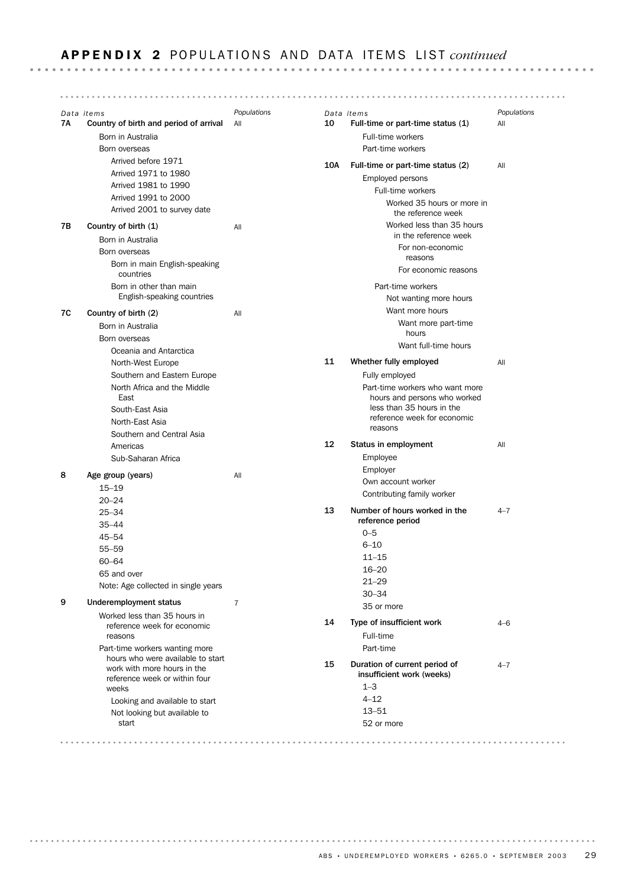### **APPENDIX 2** POPULATIONS AND DATA ITEMS LIST *continued*

*Data items Populations Data items Populations* 7A Country of birth and period of arrival All 10 Full-time or part-time status (1) All Born in Australia Full-time workers Born overseas Part-time workers Arrived before 1971 10A Full-time or part-time status (2) All Arrived 1971 to 1980 Employed persons Arrived 1981 to 1990 Full-time workers Arrived 1991 to 2000 Worked 35 hours or more in Arrived 2001 to survey date the reference week Worked less than 35 hours 7B Country of birth (1) All in the reference week Born in Australia For non-economic Born overseas reasons Born in main English-speaking For economic reasons countries Born in other than main Part-time workers English-speaking countries Not wanting more hours Want more hours 7C Country of birth (2) All Want more part-time Born in Australia hours Born overseas Want full-time hours Oceania and Antarctica 11 Whether fully employed All North-West Europe Southern and Eastern Europe Fully employed North Africa and the Middle Part-time workers who want more East hours and persons who worked less than 35 hours in the South-East Asia reference week for economic North-East Asia reasons Southern and Central Asia 12 Status in employment All Americas Sub-Saharan Africa Employee Employer 8 Age group (years) All Own account worker 15–19 Contributing family worker 20–24 25–34 13 Number of hours worked in the  $4-7$ reference period 35–44 0–5 45–54 6–10 55–59 11–15 60–64 16–20 65 and over 21–29 Note: Age collected in single years 30–34 9 Underemployment status 7 35 or more Worked less than 35 hours in 14 Type of insufficient work 4–6 reference week for economic Full-time reasons Part-time workers wanting more Part-time hours who were available to start 15 Duration of current period of 4-7 work with more hours in the insufficient work (weeks) reference week or within four 1–3 weeks  $4 - 12$ Looking and available to start 13–51 Not looking but available to start 52 or more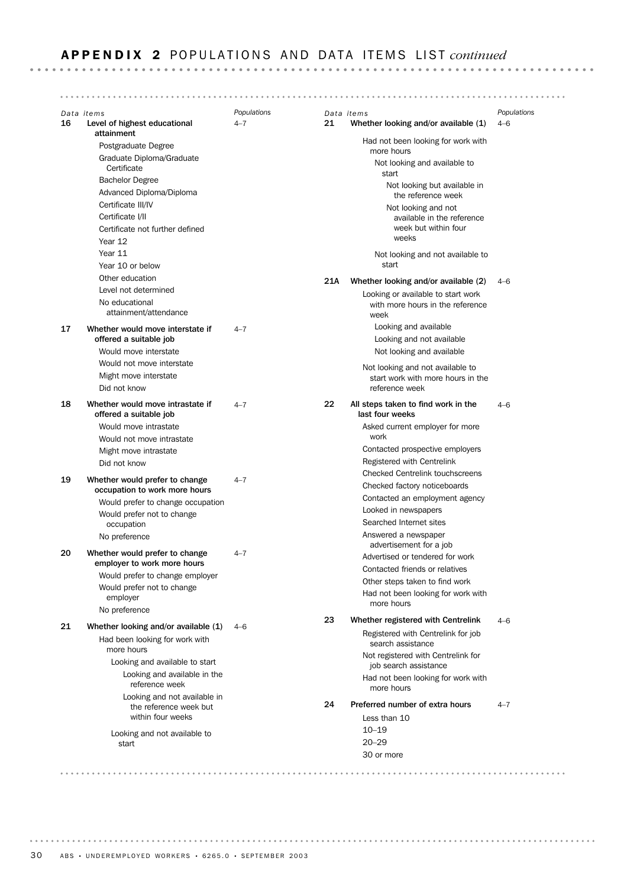**APPENDIX 2** POPULATIONS AND DATA ITEMS LIST *continued Data items Populations Data items Populations* Level of highest educational 4-7 16 21 Whether looking and/or available (1) 4-6 attainment Had not been looking for work with Postgraduate Degree more hours Graduate Diploma/Graduate Not looking and available to **Certificate** start Bachelor Degree Not looking but available in Advanced Diploma/Diploma the reference week Certificate III/IV Not looking and not Certificate I/II available in the reference week but within four Certificate not further defined weeks Year 12 Year 11 Not looking and not available to Year 10 or below start Other education 21A Whether looking and/or available (2) 4-6 Level not determined Looking or available to start work No educational with more hours in the reference attainment/attendance week 17 Whether would move interstate if  $4-7$ Looking and available offered a suitable job Looking and not available Would move interstate Not looking and available Would not move interstate Not looking and not available to Might move interstate start work with more hours in the Did not know reference week 18 Whether would move intrastate if  $4-7$ 22 All steps taken to find work in the  $4-6$ offered a suitable job last four weeks Asked current employer for more Would move intrastate Would not move intrastate work Contacted prospective employers Might move intrastate Registered with Centrelink Did not know Checked Centrelink touchscreens 19 Whether would prefer to change  $4-7$ Checked factory noticeboards occupation to work more hours Contacted an employment agency Would prefer to change occupation Looked in newspapers Would prefer not to change Searched Internet sites occupation Answered a newspaper No preference advertisement for a job 20 Whether would prefer to change  $4-7$ Advertised or tendered for work employer to work more hours Contacted friends or relatives Would prefer to change employer Other steps taken to find work Would prefer not to change Had not been looking for work with employer more hours No preference 23 Whether registered with Centrelink 4–6 21 Whether looking and/or available (1) 4-6 Registered with Centrelink for job Had been looking for work with search assistance more hours Not registered with Centrelink for Looking and available to start job search assistance

Looking and not available in the reference week but within four weeks Looking and available in the reference week

Looking and not available to start

20–29 10–19 Less than 10 24 Preferred number of extra hours 4–7

Had not been looking for work with

30 or more

more hours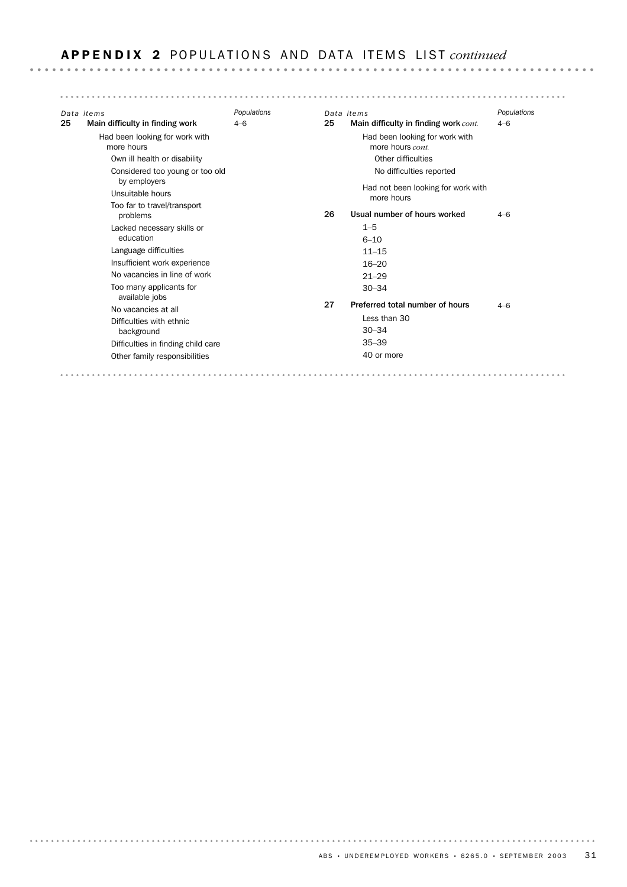# APPENDIX 2 POPULATIONS AND DATA ITEMS LIST *continued*

| Data items                                   | Populations |    | Data items                                         | Populations |
|----------------------------------------------|-------------|----|----------------------------------------------------|-------------|
| Main difficulty in finding work              | $4 - 6$     | 25 | Main difficulty in finding work cont.              | $4 - 6$     |
| Had been looking for work with<br>more hours |             |    | Had been looking for work with<br>more hours cont. |             |
| Own ill health or disability                 |             |    | Other difficulties                                 |             |
| Considered too young or too old              |             |    | No difficulties reported                           |             |
| by employers<br>Unsuitable hours             |             |    | Had not been looking for work with<br>more hours   |             |
| Too far to travel/transport<br>problems      |             | 26 | Usual number of hours worked                       | $4 - 6$     |
| Lacked necessary skills or                   |             |    | $1 - 5$                                            |             |
| education                                    |             |    | $6 - 10$                                           |             |
| Language difficulties                        |             |    | $11 - 15$                                          |             |
| Insufficient work experience                 |             |    | $16 - 20$                                          |             |
| No vacancies in line of work                 |             |    | $21 - 29$                                          |             |
| Too many applicants for<br>available jobs    |             |    | $30 - 34$                                          |             |
| No vacancies at all                          |             | 27 | Preferred total number of hours                    | $4 - 6$     |
| Difficulties with ethnic                     |             |    | Less than 30                                       |             |
| background                                   |             |    | $30 - 34$                                          |             |
| Difficulties in finding child care           |             |    | $35 - 39$                                          |             |
| Other family responsibilities                |             |    | 40 or more                                         |             |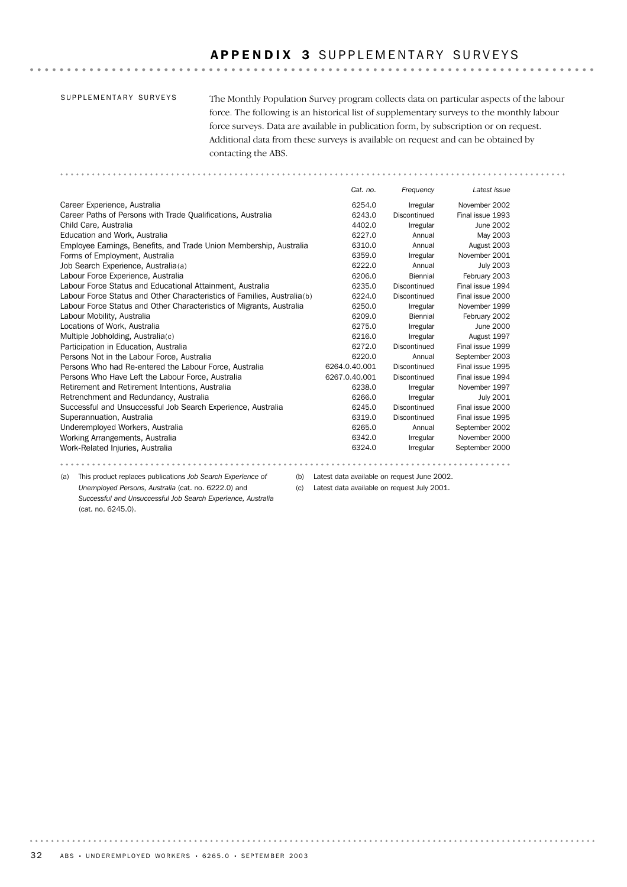### APPENDIX 3 SUPPLEMENTARY SURVEYS

### SUPPLEMENTARY SURVEYS

The Monthly Population Survey program collects data on particular aspects of the labour force. The following is an historical list of supplementary surveys to the monthly labour force surveys. Data are available in publication form, by subscription or on request. Additional data from these surveys is available on request and can be obtained by contacting the ABS.

Work-Related Injuries, Australia 6324.0 Irregular September 2000 Working Arrangements, Australia and Electronic and Electronic Control of the Gaussian of the Gaussian Movember 2000 Underemployed Workers, Australia 6265.0 Annual September 2002 Superannuation, Australia 6319.0 Discontinued Final issue 1995 Successful and Unsuccessful Job Search Experience, Australia 6245.0 Discontinued Final issue 2000 Retrenchment and Redundancy, Australia and Australia and Case of Gase Control of Gase Control and Tuly 2001 Retirement and Retirement Intentions, Australia and Equation 6238.0 Irregular November 1997 Persons Who Have Left the Labour Force, Australia 6267.0.40.001 Discontinued Final issue 1994 Persons Who had Re-entered the Labour Force, Australia 6264.0.40.001 Discontinued Final issue 1995 Persons Not in the Labour Force, Australia 6220.0 Annual September 2003 Participation in Education, Australia 6272.0 Discontinued Final issue 1999 Multiple Jobholding, Australia(c) and the control of the control of the G216.0 Irregular August 1997 Locations of Work, Australia 6275.0 Irregular June 2000 Labour Mobility, Australia 6209.0 Biennial February 2002 Labour Force Status and Other Characteristics of Migrants, Australia 6250.0 Irregular November 1999 Labour Force Status and Other Characteristics of Families, Australia(b) 6224.0 Discontinued Final issue 2000 Labour Force Status and Educational Attainment, Australia 6235.0 Discontinued Final issue 1994 Labour Force Experience, Australia 6206.0 Biennial February 2003 Job Search Experience, Australia(a) 6222.0 Annual July 2003 Forms of Employment, Australia 6359.0 Irregular November 2001 Employee Earnings, Benefits, and Trade Union Membership, Australia 6310.0 Annual August 2003 Education and Work, Australia and May 2003 C27.0 Annual May 2003 Child Care, Australia 4402.0 Irregular June 2002 Career Paths of Persons with Trade Qualifications, Australia 6243.0 Discontinued Final issue 1993 Career Experience, Australia 6254.0 Irregular November 2002 *Cat. no. Frequency Latest issue*

(a) This product replaces publications *Job Search Experience of Unemployed Persons, Australia* (cat. no. 6222.0) and *Successful and Unsuccessful Job Search Experience, Australia* (cat. no. 6245.0).

(b) Latest data available on request June 2002.

. . . . . . .

(c) Latest data available on request July 2001.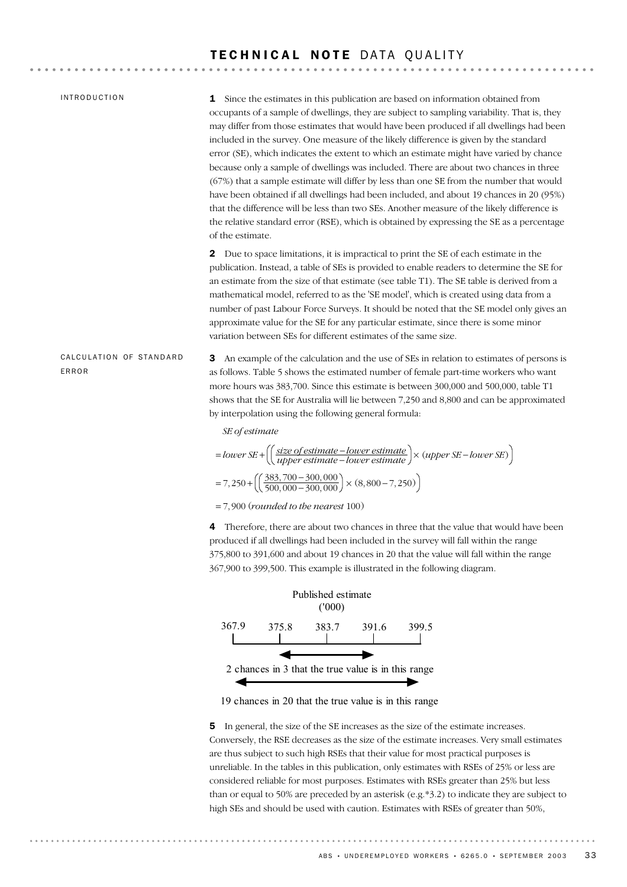### TECHNICAL NOTE DATA QUALITY

. . . . . . . . . . . . . . . . . . .

| <b>INTRODUCTION</b>              | <b>1</b> Since the estimates in this publication are based on information obtained from<br>occupants of a sample of dwellings, they are subject to sampling variability. That is, they<br>may differ from those estimates that would have been produced if all dwellings had been<br>included in the survey. One measure of the likely difference is given by the standard<br>error (SE), which indicates the extent to which an estimate might have varied by chance<br>because only a sample of dwellings was included. There are about two chances in three<br>(67%) that a sample estimate will differ by less than one SE from the number that would<br>have been obtained if all dwellings had been included, and about 19 chances in 20 (95%)<br>that the difference will be less than two SEs. Another measure of the likely difference is<br>the relative standard error (RSE), which is obtained by expressing the SE as a percentage<br>of the estimate. |
|----------------------------------|---------------------------------------------------------------------------------------------------------------------------------------------------------------------------------------------------------------------------------------------------------------------------------------------------------------------------------------------------------------------------------------------------------------------------------------------------------------------------------------------------------------------------------------------------------------------------------------------------------------------------------------------------------------------------------------------------------------------------------------------------------------------------------------------------------------------------------------------------------------------------------------------------------------------------------------------------------------------|
|                                  | <b>2</b> Due to space limitations, it is impractical to print the SE of each estimate in the<br>publication. Instead, a table of SEs is provided to enable readers to determine the SE for<br>an estimate from the size of that estimate (see table T1). The SE table is derived from a<br>mathematical model, referred to as the 'SE model', which is created using data from a<br>number of past Labour Force Surveys. It should be noted that the SE model only gives an<br>approximate value for the SE for any particular estimate, since there is some minor<br>variation between SEs for different estimates of the same size.                                                                                                                                                                                                                                                                                                                               |
| CALCULATION OF STANDARD<br>ERROR | An example of the calculation and the use of SEs in relation to estimates of persons is<br>3<br>as follows. Table 5 shows the estimated number of female part-time workers who want<br>more hours was 383,700. Since this estimate is between 300,000 and 500,000, table T1<br>shows that the SE for Australia will lie between 7,250 and 8,800 and can be approximated<br>by interpolation using the following general formula:                                                                                                                                                                                                                                                                                                                                                                                                                                                                                                                                    |
|                                  | SE of estimate                                                                                                                                                                                                                                                                                                                                                                                                                                                                                                                                                                                                                                                                                                                                                                                                                                                                                                                                                      |
|                                  | $= lower SE + \left(\left(\frac{size\ of\ estimate - lower\ estimate}{upper\ estimate - lower\ estimate}\right) \times (upper\ SE - lower\ SE)\right)$                                                                                                                                                                                                                                                                                                                                                                                                                                                                                                                                                                                                                                                                                                                                                                                                              |
|                                  | $= 7,250 + \left(\left(\frac{383,700 - 300,000}{500,000 - 300,000}\right) \times (8,800 - 7,250)\right)$                                                                                                                                                                                                                                                                                                                                                                                                                                                                                                                                                                                                                                                                                                                                                                                                                                                            |
|                                  | $= 7,900$ (rounded to the nearest 100)                                                                                                                                                                                                                                                                                                                                                                                                                                                                                                                                                                                                                                                                                                                                                                                                                                                                                                                              |
|                                  | Therefore, there are about two chances in three that the value that would have been<br>4<br>produced if all dwellings had been included in the survey will fall within the range<br>375,800 to 391,600 and about 19 chances in 20 that the value will fall within the range<br>367,900 to 399,500. This example is illustrated in the following diagram.                                                                                                                                                                                                                                                                                                                                                                                                                                                                                                                                                                                                            |
|                                  | Published estimate<br>(1000)                                                                                                                                                                                                                                                                                                                                                                                                                                                                                                                                                                                                                                                                                                                                                                                                                                                                                                                                        |
|                                  | 367.9<br>383.7<br>375.8<br>391.6<br>399.5                                                                                                                                                                                                                                                                                                                                                                                                                                                                                                                                                                                                                                                                                                                                                                                                                                                                                                                           |
|                                  | 2 chances in 3 that the true value is in this range                                                                                                                                                                                                                                                                                                                                                                                                                                                                                                                                                                                                                                                                                                                                                                                                                                                                                                                 |

### 19 chances in 20 that the true value is in this range

 $\blacktriangleleft$ 

. . . . . . . .

5 In general, the size of the SE increases as the size of the estimate increases. Conversely, the RSE decreases as the size of the estimate increases. Very small estimates are thus subject to such high RSEs that their value for most practical purposes is unreliable. In the tables in this publication, only estimates with RSEs of 25% or less are considered reliable for most purposes. Estimates with RSEs greater than 25% but less than or equal to 50% are preceded by an asterisk (e.g.\*3.2) to indicate they are subject to high SEs and should be used with caution. Estimates with RSEs of greater than 50%,

◆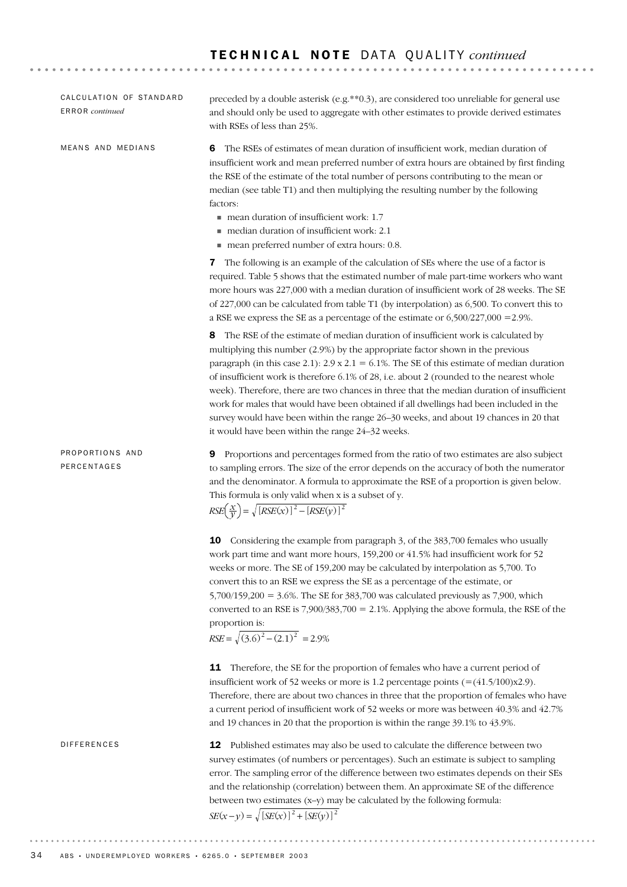| CALCULATION OF STANDARD<br><b>ERROR</b> continued | preceded by a double asterisk (e.g.**0.3), are considered too unreliable for general use<br>and should only be used to aggregate with other estimates to provide derived estimates<br>with RSEs of less than 25%.                                                                                                                                                                                                                                                                                                                                                                                                                                                                                             |
|---------------------------------------------------|---------------------------------------------------------------------------------------------------------------------------------------------------------------------------------------------------------------------------------------------------------------------------------------------------------------------------------------------------------------------------------------------------------------------------------------------------------------------------------------------------------------------------------------------------------------------------------------------------------------------------------------------------------------------------------------------------------------|
| MEANS AND MEDIANS                                 | The RSEs of estimates of mean duration of insufficient work, median duration of<br>6<br>insufficient work and mean preferred number of extra hours are obtained by first finding<br>the RSE of the estimate of the total number of persons contributing to the mean or<br>median (see table T1) and then multiplying the resulting number by the following<br>factors:<br>mean duration of insufficient work: 1.7<br>median duration of insufficient work: 2.1<br>mean preferred number of extra hours: 0.8.                                                                                                                                                                                                  |
|                                                   | The following is an example of the calculation of SEs where the use of a factor is<br>7<br>required. Table 5 shows that the estimated number of male part-time workers who want<br>more hours was 227,000 with a median duration of insufficient work of 28 weeks. The SE<br>of 227,000 can be calculated from table T1 (by interpolation) as 6,500. To convert this to<br>a RSE we express the SE as a percentage of the estimate or 6,500/227,000 = 2.9%.                                                                                                                                                                                                                                                   |
|                                                   | The RSE of the estimate of median duration of insufficient work is calculated by<br>8<br>multiplying this number (2.9%) by the appropriate factor shown in the previous<br>paragraph (in this case 2.1): $2.9 \times 2.1 = 6.1\%$ . The SE of this estimate of median duration<br>of insufficient work is therefore 6.1% of 28, i.e. about 2 (rounded to the nearest whole<br>week). Therefore, there are two chances in three that the median duration of insufficient<br>work for males that would have been obtained if all dwellings had been included in the<br>survey would have been within the range 26-30 weeks, and about 19 chances in 20 that<br>it would have been within the range 24-32 weeks. |
| PROPORTIONS AND<br>PERCENTAGES                    | Proportions and percentages formed from the ratio of two estimates are also subject<br>9<br>to sampling errors. The size of the error depends on the accuracy of both the numerator<br>and the denominator. A formula to approximate the RSE of a proportion is given below.<br>This formula is only valid when x is a subset of y.<br>$RSE\left(\frac{x}{y}\right) = \sqrt{[RSE(x)]^2 - [RSE(y)]^2}$                                                                                                                                                                                                                                                                                                         |
|                                                   | Considering the example from paragraph 3, of the 383,700 females who usually<br>10<br>work part time and want more hours, 159,200 or 41.5% had insufficient work for 52<br>weeks or more. The SE of 159,200 may be calculated by interpolation as 5,700. To<br>convert this to an RSE we express the SE as a percentage of the estimate, or<br>$5,700/159,200 = 3.6\%$ . The SE for 383,700 was calculated previously as 7,900, which<br>converted to an RSE is 7,900/383,700 = 2.1%. Applying the above formula, the RSE of the<br>proportion is:<br>$RSE = \sqrt{(3.6)^2 - (2.1)^2} = 2.9\%$                                                                                                                |
|                                                   | <b>11</b> Therefore, the SE for the proportion of females who have a current period of<br>insufficient work of 52 weeks or more is 1.2 percentage points $(=(41.5/100)x2.9)$ .<br>Therefore, there are about two chances in three that the proportion of females who have<br>a current period of insufficient work of 52 weeks or more was between 40.3% and 42.7%<br>and 19 chances in 20 that the proportion is within the range 39.1% to 43.9%.                                                                                                                                                                                                                                                            |
| DIFFERENCES                                       | Published estimates may also be used to calculate the difference between two<br>12<br>survey estimates (of numbers or percentages). Such an estimate is subject to sampling<br>error. The sampling error of the difference between two estimates depends on their SEs<br>and the relationship (correlation) between them. An approximate SE of the difference<br>between two estimates (x-y) may be calculated by the following formula:                                                                                                                                                                                                                                                                      |

$$
SE(x - y) = \sqrt{[SE(x)]^2 + [SE(y)]^2}
$$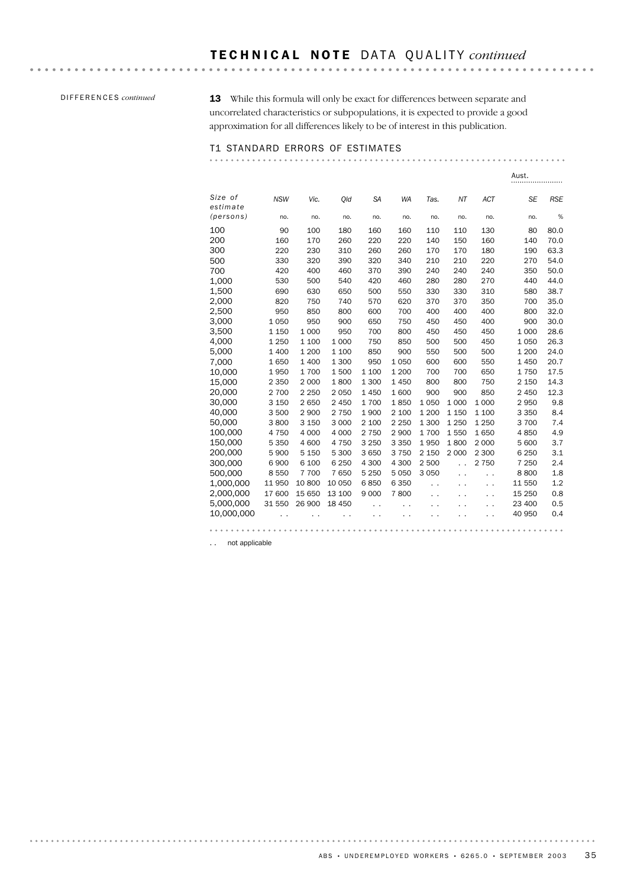### DIFFERENCES *continued*

13 While this formula will only be exact for differences between separate and uncorrelated characteristics or subpopulations, it is expected to provide a good approximation for all differences likely to be of interest in this publication.

### T1 STANDARD ERRORS OF ESTIMATES

 $\sim$ 

|                     |            |         |         |           |           |         |                      |            | Aust.     |            |
|---------------------|------------|---------|---------|-----------|-----------|---------|----------------------|------------|-----------|------------|
| Size of<br>estimate | <b>NSW</b> | Vic.    | Old     | <b>SA</b> | <b>WA</b> | Tas.    | NT                   | <b>ACT</b> | <b>SE</b> | <b>RSE</b> |
| (persons)           | no.        | no.     | no.     | no.       | no.       | no.     | no.                  | no.        | no.       | %          |
| 100                 | 90         | 100     | 180     | 160       | 160       | 110     | 110                  | 130        | 80        | 80.0       |
| 200                 | 160        | 170     | 260     | 220       | 220       | 140     | 150                  | 160        | 140       | 70.0       |
| 300                 | 220        | 230     | 310     | 260       | 260       | 170     | 170                  | 180        | 190       | 63.3       |
| 500                 | 330        | 320     | 390     | 320       | 340       | 210     | 210                  | 220        | 270       | 54.0       |
| 700                 | 420        | 400     | 460     | 370       | 390       | 240     | 240                  | 240        | 350       | 50.0       |
| 1,000               | 530        | 500     | 540     | 420       | 460       | 280     | 280                  | 270        | 440       | 44.0       |
| 1,500               | 690        | 630     | 650     | 500       | 550       | 330     | 330                  | 310        | 580       | 38.7       |
| 2,000               | 820        | 750     | 740     | 570       | 620       | 370     | 370                  | 350        | 700       | 35.0       |
| 2,500               | 950        | 850     | 800     | 600       | 700       | 400     | 400                  | 400        | 800       | 32.0       |
| 3,000               | 1 0 5 0    | 950     | 900     | 650       | 750       | 450     | 450                  | 400        | 900       | 30.0       |
| 3,500               | 1 1 5 0    | 1 0 0 0 | 950     | 700       | 800       | 450     | 450                  | 450        | 1 0 0 0   | 28.6       |
| 4,000               | 1 2 5 0    | 1 100   | 1 0 0 0 | 750       | 850       | 500     | 500                  | 450        | 1 0 5 0   | 26.3       |
| 5.000               | 1 400      | 1 200   | 1 100   | 850       | 900       | 550     | 500                  | 500        | 1 200     | 24.0       |
| 7,000               | 1650       | 1 400   | 1 300   | 950       | 1050      | 600     | 600                  | 550        | 1450      | 20.7       |
| 10,000              | 1950       | 1700    | 1500    | 1 100     | 1 200     | 700     | 700                  | 650        | 1750      | 17.5       |
| 15,000              | 2 3 5 0    | 2 0 0 0 | 1800    | 1 300     | 1450      | 800     | 800                  | 750        | 2 150     | 14.3       |
| 20.000              | 2 700      | 2 2 5 0 | 2050    | 1450      | 1600      | 900     | 900                  | 850        | 2 4 5 0   | 12.3       |
| 30,000              | 3 1 5 0    | 2650    | 2 4 5 0 | 1700      | 1850      | 1 0 5 0 | 1 000                | 1 0 0 0    | 2950      | 9.8        |
| 40.000              | 3 500      | 2 9 0 0 | 2 7 5 0 | 1900      | 2 100     | 1 200   | 1 1 5 0              | 1 100      | 3 3 5 0   | 8.4        |
| 50,000              | 3800       | 3 1 5 0 | 3 0 0 0 | 2 100     | 2 2 5 0   | 1 300   | 1 2 5 0              | 1 2 5 0    | 3700      | 7.4        |
| 100,000             | 4750       | 4 0 0 0 | 4 0 0 0 | 2 7 5 0   | 2 9 0 0   | 1700    | 1550                 | 1650       | 4850      | 4.9        |
| 150.000             | 5 3 5 0    | 4 600   | 4750    | 3 2 5 0   | 3 3 5 0   | 1950    | 1800                 | 2 0 0 0    | 5 600     | 3.7        |
| 200,000             | 5 9 0 0    | 5 1 5 0 | 5 300   | 3 650     | 3750      | 2 1 5 0 | 2 0 0 0              | 2 3 0 0    | 6 2 5 0   | 3.1        |
| 300,000             | 6 900      | 6 100   | 6 2 5 0 | 4 300     | 4 300     | 2 500   | $\ddot{\phantom{0}}$ | 2 7 5 0    | 7 2 5 0   | 2.4        |
| 500.000             | 8 5 5 0    | 7 700   | 7650    | 5 2 5 0   | 5 0 5 0   | 3 0 5 0 | . .                  | . .        | 8800      | 1.8        |
| 1,000,000           | 11 950     | 10 800  | 10 050  | 6850      | 6 3 5 0   | . .     |                      | . .        | 11 550    | 1.2        |
| 2,000,000           | 17 600     | 15 650  | 13 100  | 9 0 0 0   | 7800      |         |                      | . .        | 15 250    | 0.8        |
| 5,000,000           | 31 550     | 26 900  | 18 450  |           |           |         |                      |            | 23 400    | 0.5        |
| 10,000,000          |            |         |         |           |           |         |                      |            | 40 950    | 0.4        |
|                     |            |         |         |           |           |         |                      |            |           |            |

.. not applicable

. . . . . . . . . . . . . . . . .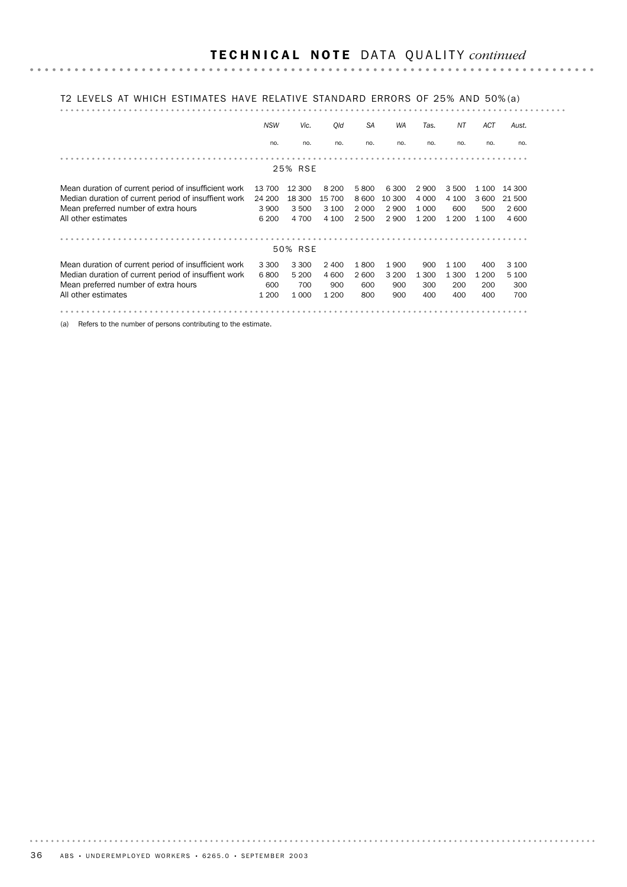### T2 LEVELS AT WHICH ESTIMATES HAVE RELATIVE STANDARD ERRORS OF 25% AND 50% (a)

|                                                      | <b>NSW</b> | Vic.    | Qld     | <b>SA</b> | <b>WA</b> | Tas.    | NT      | ACT   | Aust.  |
|------------------------------------------------------|------------|---------|---------|-----------|-----------|---------|---------|-------|--------|
|                                                      | no.        | no.     | no.     | no.       | no.       | no.     | no.     | no.   | no.    |
|                                                      |            |         |         |           |           |         |         |       |        |
|                                                      |            | 25% RSE |         |           |           |         |         |       |        |
| Mean duration of current period of insufficient work | 13 700     | 12 300  | 8 2 0 0 | 5800      | 6 3 0 0   | 2 9 0 0 | 3500    | 1 100 | 14 300 |
| Median duration of current period of insuffient work | 24 200     | 18 300  | 15 700  | 8 600     | 10 300    | 4 0 0 0 | 4 100   | 3 600 | 21 500 |
| Mean preferred number of extra hours                 | 3 9 0 0    | 3 500   | 3 100   | 2 0 0 0   | 2 9 0 0   | 1 0 0 0 | 600     | 500   | 2600   |
| All other estimates                                  | 6 200      | 4 700   | 4 100   | 2 500     | 2 9 0 0   | 1 200   | 1 2 0 0 | 1 100 | 4 600  |
|                                                      |            |         |         |           |           |         |         |       |        |
|                                                      |            | 50% RSE |         |           |           |         |         |       |        |
| Mean duration of current period of insufficient work | 3 3 0 0    | 3 3 0 0 | 2 4 0 0 | 1800      | 1900      | 900     | 1 100   | 400   | 3 100  |
| Median duration of current period of insuffient work | 6800       | 5 200   | 4 600   | 2 600     | 3 2 0 0   | 1 300   | 1 300   | 1 200 | 5 100  |
| Mean preferred number of extra hours                 | 600        | 700     | 900     | 600       | 900       | 300     | 200     | 200   | 300    |
| All other estimates                                  | 1 200      | 1 0 0 0 | 1 2 0 0 | 800       | 900       | 400     | 400     | 400   | 700    |
|                                                      |            |         |         |           |           |         |         |       |        |

(a) Refers to the number of persons contributing to the estimate.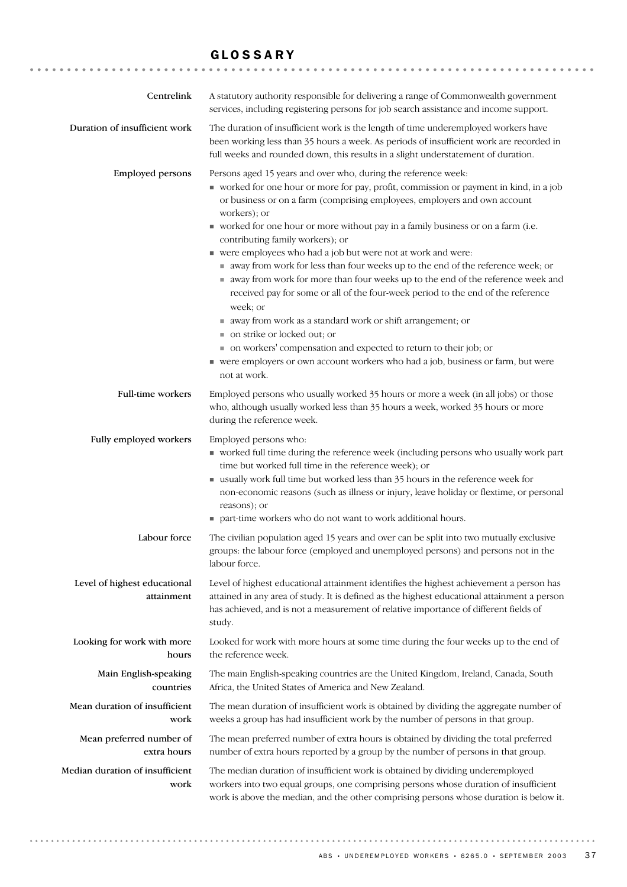# GLOSSARY

| Centrelink                                 | A statutory authority responsible for delivering a range of Commonwealth government<br>services, including registering persons for job search assistance and income support.                                                                                                                                                                                                                                                                                                                                                                                                                                                                                                                                                                                                                                                                                                                                                                                                                    |
|--------------------------------------------|-------------------------------------------------------------------------------------------------------------------------------------------------------------------------------------------------------------------------------------------------------------------------------------------------------------------------------------------------------------------------------------------------------------------------------------------------------------------------------------------------------------------------------------------------------------------------------------------------------------------------------------------------------------------------------------------------------------------------------------------------------------------------------------------------------------------------------------------------------------------------------------------------------------------------------------------------------------------------------------------------|
| Duration of insufficient work              | The duration of insufficient work is the length of time underemployed workers have<br>been working less than 35 hours a week. As periods of insufficient work are recorded in<br>full weeks and rounded down, this results in a slight understatement of duration.                                                                                                                                                                                                                                                                                                                                                                                                                                                                                                                                                                                                                                                                                                                              |
| <b>Employed persons</b>                    | Persons aged 15 years and over who, during the reference week:<br>• worked for one hour or more for pay, profit, commission or payment in kind, in a job<br>or business or on a farm (comprising employees, employers and own account<br>workers); or<br>worked for one hour or more without pay in a family business or on a farm (i.e.<br>contributing family workers); or<br>• were employees who had a job but were not at work and were:<br>away from work for less than four weeks up to the end of the reference week; or<br>away from work for more than four weeks up to the end of the reference week and<br>received pay for some or all of the four-week period to the end of the reference<br>week; or<br>■ away from work as a standard work or shift arrangement; or<br>■ on strike or locked out; or<br>• on workers' compensation and expected to return to their job; or<br>■ were employers or own account workers who had a job, business or farm, but were<br>not at work. |
| <b>Full-time workers</b>                   | Employed persons who usually worked 35 hours or more a week (in all jobs) or those<br>who, although usually worked less than 35 hours a week, worked 35 hours or more<br>during the reference week.                                                                                                                                                                                                                                                                                                                                                                                                                                                                                                                                                                                                                                                                                                                                                                                             |
| Fully employed workers                     | Employed persons who:<br>• worked full time during the reference week (including persons who usually work part<br>time but worked full time in the reference week); or<br>usually work full time but worked less than 35 hours in the reference week for<br>non-economic reasons (such as illness or injury, leave holiday or flextime, or personal<br>reasons); or<br>■ part-time workers who do not want to work additional hours.                                                                                                                                                                                                                                                                                                                                                                                                                                                                                                                                                            |
| Labour force                               | The civilian population aged 15 years and over can be split into two mutually exclusive<br>groups: the labour force (employed and unemployed persons) and persons not in the<br>labour force.                                                                                                                                                                                                                                                                                                                                                                                                                                                                                                                                                                                                                                                                                                                                                                                                   |
| Level of highest educational<br>attainment | Level of highest educational attainment identifies the highest achievement a person has<br>attained in any area of study. It is defined as the highest educational attainment a person<br>has achieved, and is not a measurement of relative importance of different fields of<br>study.                                                                                                                                                                                                                                                                                                                                                                                                                                                                                                                                                                                                                                                                                                        |
| Looking for work with more<br>hours        | Looked for work with more hours at some time during the four weeks up to the end of<br>the reference week.                                                                                                                                                                                                                                                                                                                                                                                                                                                                                                                                                                                                                                                                                                                                                                                                                                                                                      |
| Main English-speaking<br>countries         | The main English-speaking countries are the United Kingdom, Ireland, Canada, South<br>Africa, the United States of America and New Zealand.                                                                                                                                                                                                                                                                                                                                                                                                                                                                                                                                                                                                                                                                                                                                                                                                                                                     |
| Mean duration of insufficient<br>work      | The mean duration of insufficient work is obtained by dividing the aggregate number of<br>weeks a group has had insufficient work by the number of persons in that group.                                                                                                                                                                                                                                                                                                                                                                                                                                                                                                                                                                                                                                                                                                                                                                                                                       |
| Mean preferred number of<br>extra hours    | The mean preferred number of extra hours is obtained by dividing the total preferred<br>number of extra hours reported by a group by the number of persons in that group.                                                                                                                                                                                                                                                                                                                                                                                                                                                                                                                                                                                                                                                                                                                                                                                                                       |
| Median duration of insufficient<br>work    | The median duration of insufficient work is obtained by dividing underemployed<br>workers into two equal groups, one comprising persons whose duration of insufficient<br>work is above the median, and the other comprising persons whose duration is below it.                                                                                                                                                                                                                                                                                                                                                                                                                                                                                                                                                                                                                                                                                                                                |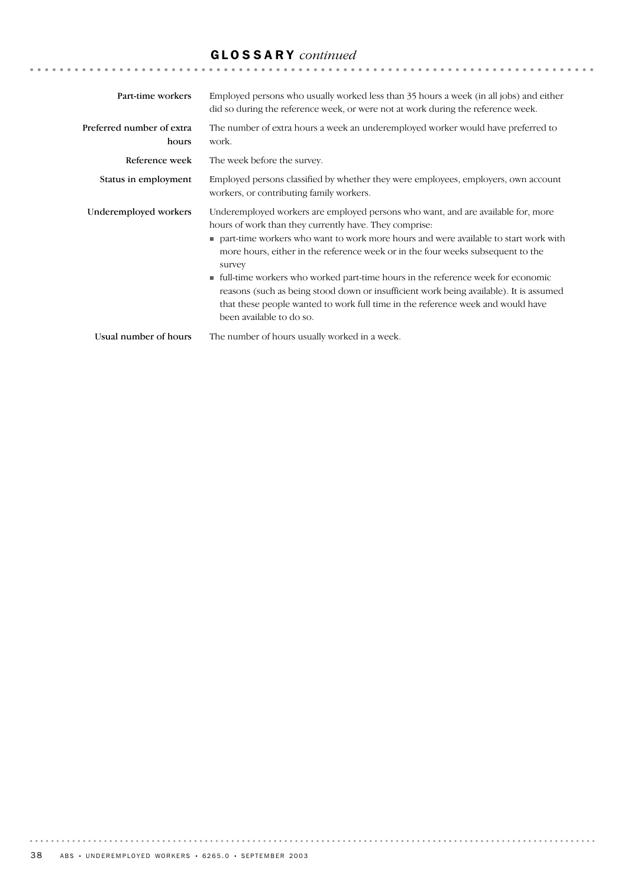# GLOSSARY *continued*

| Part-time workers                  | Employed persons who usually worked less than 35 hours a week (in all jobs) and either<br>did so during the reference week, or were not at work during the reference week.                                                                                                                                                                                                                                                                                                                                                                                                                                                    |
|------------------------------------|-------------------------------------------------------------------------------------------------------------------------------------------------------------------------------------------------------------------------------------------------------------------------------------------------------------------------------------------------------------------------------------------------------------------------------------------------------------------------------------------------------------------------------------------------------------------------------------------------------------------------------|
| Preferred number of extra<br>hours | The number of extra hours a week an underemployed worker would have preferred to<br>work.                                                                                                                                                                                                                                                                                                                                                                                                                                                                                                                                     |
| Reference week                     | The week before the survey.                                                                                                                                                                                                                                                                                                                                                                                                                                                                                                                                                                                                   |
| Status in employment               | Employed persons classified by whether they were employees, employers, own account<br>workers, or contributing family workers.                                                                                                                                                                                                                                                                                                                                                                                                                                                                                                |
| Underemployed workers              | Underemployed workers are employed persons who want, and are available for, more<br>hours of work than they currently have. They comprise:<br>part-time workers who want to work more hours and were available to start work with<br>more hours, either in the reference week or in the four weeks subsequent to the<br>survey<br>If full-time workers who worked part-time hours in the reference week for economic<br>reasons (such as being stood down or insufficient work being available). It is assumed<br>that these people wanted to work full time in the reference week and would have<br>been available to do so. |
| Usual number of hours              | The number of hours usually worked in a week.                                                                                                                                                                                                                                                                                                                                                                                                                                                                                                                                                                                 |